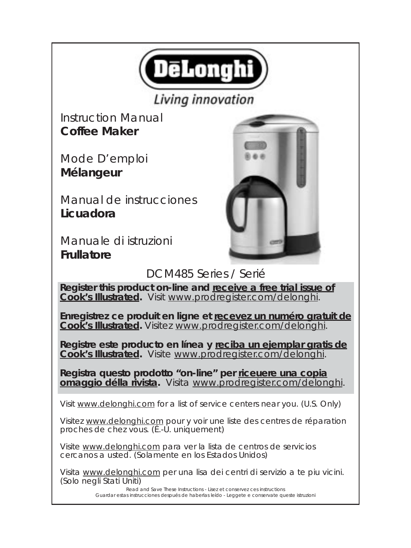

# Living innovation

Instruction Manual **Coffee Maker**

Mode D'emploi **Mélangeur**

Manual de instrucciones **Licuadora**

Manuale di istruzioni **Frullatore**



DCM485 Series / Serié

**Register this product on-line and receive a free trial issue of Cook's Illustrated.** Visit www.prodregister.com/delonghi.

**Enregistrez ce produit en ligne et recevez un numéro gratuit de Cook's Illustrated.** Visitez www.prodregister.com/delonghi.

**Registre este producto en línea y reciba un ejemplar gratis de Cook's Illustrated.** Visite www.prodregister.com/delonghi.

**Registra questo prodotto "on-line" per riceuere una copia omaggio délla rivista.** Visita www.prodregister.com/delonghi.

Visit www.delonghi.com for a list of service centers near you. (U.S. Only)

Visitez www.delonghi.com pour y voir une liste des centres de réparation proches de chez vous. (É.-U. uniquement)

Visite www.delonghi.com para ver la lista de centros de servicios cercanos a usted. (Solamente en los Estados Unidos)

Visita www.delonghi.com per una lisa dei centri di servizio a te piu vicini. (Solo negli Stati Uniti)

> Read and Save These Instructions - Lisez et conservez ces instructions Guardar estas instrucciones después de haberlas leído - Leggete e conservate queste istruzioni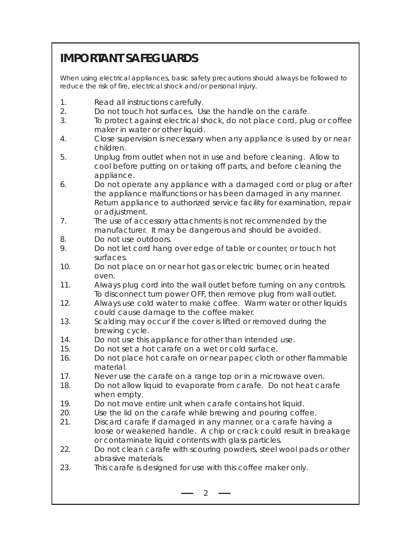# **IMPORTANT SAFEGUARDS**

When using electrical appliances, basic safety precautions should always be followed to reduce the risk of fire, electrical shock and/or personal injury.

- 1. Read all instructions carefully.
- 2. Do not touch hot surfaces. Use the handle on the carafe.
- 3. To protect against electrical shock, do not place cord, plug or coffee maker in water or other liquid.
- 4. Close supervision is necessary when any appliance is used by or near children.
- 5. Unplug from outlet when not in use and before cleaning. Allow to cool before putting on or taking off parts, and before cleaning the appliance.
- 6. Do not operate any appliance with a damaged cord or plug or after the appliance malfunctions or has been damaged in any manner. Return appliance to authorized service facility for examination, repair or adjustment.
- 7. The use of accessory attachments is not recommended by the manufacturer. It may be dangerous and should be avoided.
- 8. Do not use outdoors.
- 9. Do not let cord hang over edge of table or counter, or touch hot surfaces.
- 10. Do not place on or near hot gas or electric burner, or in heated oven.
- 11. Always plug cord into the wall outlet before turning on any controls. To disconnect turn power OFF, then remove plug from wall outlet.
- 12. Always use cold water to make coffee. Warm water or other liquids could cause damage to the coffee maker.
- 13. Scalding may occur if the cover is lifted or removed during the brewing cycle.
- 14. Do not use this appliance for other than intended use.
- 15. Do not set a hot carafe on a wet or cold surface.
- 16. Do not place hot carafe on or near paper, cloth or other flammable material.
- 17. Never use the carafe on a range top or in a microwave oven.
- 18. Do not allow liquid to evaporate from carafe. Do not heat carafe when empty.
- 19. Do not move entire unit when carafe contains hot liquid.
- 20. Use the lid on the carafe while brewing and pouring coffee.
- 21. Discard carafe if damaged in any manner, or a carafe having a loose or weakened handle. A chip or crack could result in breakage or contaminate liquid contents with glass particles.
- 22. Do not clean carafe with scouring powders, steel wool pads or other abrasive materials.
- 23. This carafe is designed for use with this coffee maker only.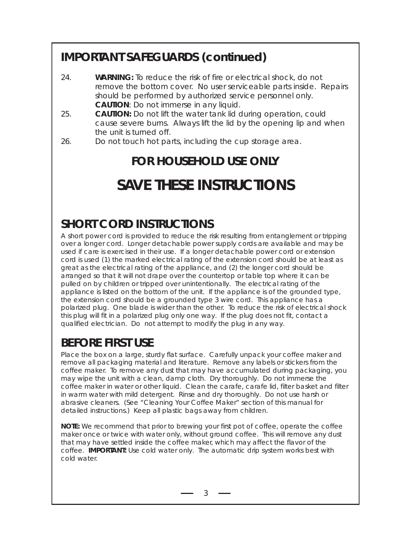# **IMPORTANT SAFEGUARDS (continued)**

- 24. **WARNING:** To reduce the risk of fire or electrical shock, do not remove the bottom cover. No user serviceable parts inside. Repairs should be performed by authorized service personnel only. **CAUTION**: Do not immerse in any liquid.
- 25. **CAUTION:** Do not lift the water tank lid during operation, could cause severe burns. Always lift the lid by the opening lip and when the unit is turned off.
- 26. Do not touch hot parts, including the cup storage area.

# **FOR HOUSEHOLD USE ONLY SAVE THESE INSTRUCTIONS**

# **SHORT CORD INSTRUCTIONS**

A short power cord is provided to reduce the risk resulting from entanglement or tripping over a longer cord. Longer detachable power supply cords are available and may be used if care is exercised in their use. If a longer detachable power cord or extension cord is used (1) the marked electrical rating of the extension cord should be at least as great as the electrical rating of the appliance, and (2) the longer cord should be arranged so that it will not drape over the countertop or table top where it can be pulled on by children or tripped over unintentionally. The electrical rating of the appliance is listed on the bottom of the unit. If the appliance is of the grounded type, the extension cord should be a grounded type 3 wire cord. This appliance has a polarized plug. One blade is wider than the other. To reduce the risk of electrical shock this plug will fit in a polarized plug only one way. If the plug does not fit, contact a qualified electrician. Do not attempt to modify the plug in any way.

# **BEFORE FIRST USE**

Place the box on a large, sturdy flat surface. Carefully unpack your coffee maker and remove all packaging material and literature. Remove any labels or stickers from the coffee maker. To remove any dust that may have accumulated during packaging, you may wipe the unit with a clean, damp cloth. Dry thoroughly. Do not immerse the coffee maker in water or other liquid. Clean the carafe, carafe lid, filter basket and filter in warm water with mild detergent. Rinse and dry thoroughly. Do not use harsh or abrasive cleaners. (See "Cleaning Your Coffee Maker" section of this manual for detailed instructions.) Keep all plastic bags away from children.

**NOTE:** We recommend that prior to brewing your first pot of coffee, operate the coffee maker once or twice with water only, without ground coffee. This will remove any dust that may have settled inside the coffee maker, which may affect the flavor of the coffee. **IMPORTANT:** Use cold water only. The automatic drip system works best with cold water.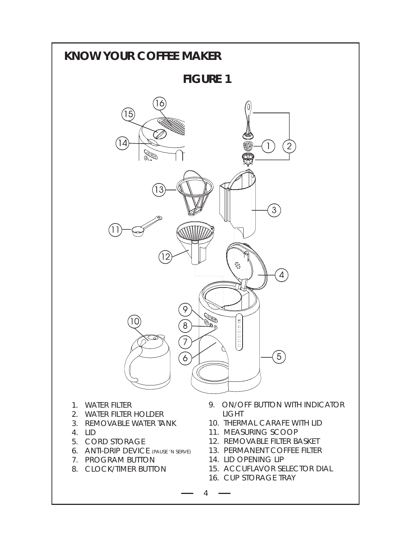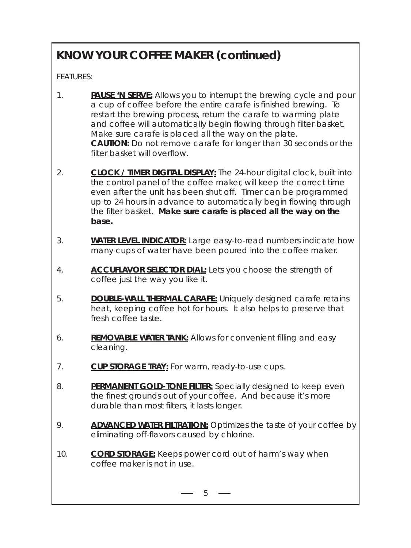# **KNOW YOUR COFFEE MAKER (continued)**

FEATURES:

- 1. **PAUSE 'N SERVE:** Allows you to interrupt the brewing cycle and pour a cup of coffee before the entire carafe is finished brewing. To restart the brewing process, return the carafe to warming plate and coffee will automatically begin flowing through filter basket. Make sure carafe is placed all the way on the plate. **CAUTION:** Do not remove carafe for longer than 30 seconds or the filter basket will overflow.
- 2. **CLOCK / TIMER DIGITAL DISPLAY:** The 24-hour digital clock, built into the control panel of the coffee maker, will keep the correct time even after the unit has been shut off. Timer can be programmed up to 24 hours in advance to automatically begin flowing through the filter basket. **Make sure carafe is placed all the way on the base.**
- 3. **WATER LEVEL INDICATOR:** Large easy-to-read numbers indicate how many cups of water have been poured into the coffee maker.
- 4. **ACCUFLAVOR SELECTOR DIAL:** Lets you choose the strength of coffee just the way you like it.
- 5. **DOUBLE-WALL THERMAL CARAFE:** Uniquely designed carafe retains heat, keeping coffee hot for hours. It also helps to preserve that fresh coffee taste.
- 6. **REMOVABLE WATER TANK:** Allows for convenient filling and easy cleaning.
- 7. **CUP STORAGE TRAY:** For warm, ready-to-use cups.
- 8. **PERMANENT GOLD-TONE FILTER:** Specially designed to keep even the finest grounds out of your coffee. And because it's more durable than most filters, it lasts longer.
- 9. **ADVANCED WATER FILTRATION:** Optimizes the taste of your coffee by eliminating off-flavors caused by chlorine.
- 10. **CORD STORAGE:** Keeps power cord out of harm's way when coffee maker is not in use.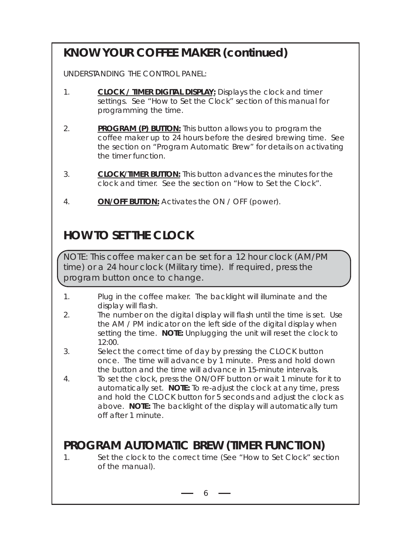# **KNOW YOUR COFFEE MAKER (continued)**

UNDERSTANDING THE CONTROL PANEL:

- 1. **CLOCK / TIMER DIGITAL DISPLAY:** Displays the clock and timer settings. See "How to Set the Clock" section of this manual for programming the time.
- 2. **PROGRAM (P) BUTTON:** This button allows you to program the coffee maker up to 24 hours before the desired brewing time. See the section on "Program Automatic Brew" for details on activating the timer function.
- 3. **CLOCK/TIMER BUTTON:** This button advances the minutes for the clock and timer. See the section on "How to Set the Clock".
- 4. **ON/OFF BUTTON:** Activates the ON / OFF (power).

# **HOW TO SET THE CLOCK**

NOTE: This coffee maker can be set for a 12 hour clock (AM/PM time) or a 24 hour clock (Military time). If required, press the program button once to change.

- 1. Plug in the coffee maker. The backlight will illuminate and the display will flash.
- 2. The number on the digital display will flash until the time is set. Use the AM / PM indicator on the left side of the digital display when setting the time. **NOTE:** Unplugging the unit will reset the clock to 12:00.
- 3. Select the correct time of day by pressing the CLOCK button once. The time will advance by 1 minute. Press and hold down the button and the time will advance in 15-minute intervals.
- 4. To set the clock, press the ON/OFF button or wait 1 minute for it to automatically set. **NOTE:** To re-adjust the clock at any time, press and hold the CLOCK button for 5 seconds and adjust the clock as above. **NOTE:** The backlight of the display will automatically turn off after 1 minute.

# **PROGRAM AUTOMATIC BREW (TIMER FUNCTION)**

1. Set the clock to the correct time (See "How to Set Clock" section of the manual).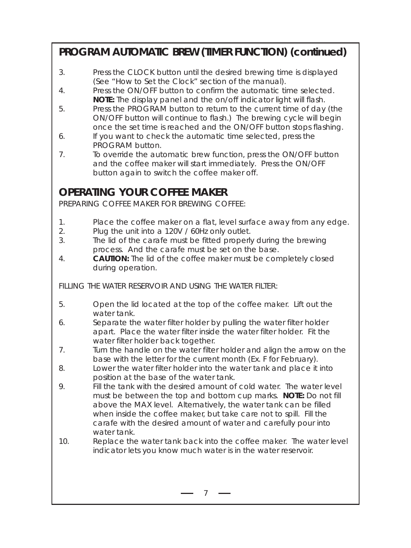### **PROGRAM AUTOMATIC BREW (TIMER FUNCTION) (continued)**

- 3. Press the CLOCK button until the desired brewing time is displayed (See "How to Set the Clock" section of the manual).
- 4. Press the ON/OFF button to confirm the automatic time selected. **NOTE:** The display panel and the on/off indicator light will flash.
- 5. Press the PROGRAM button to return to the current time of day (the ON/OFF button will continue to flash.) The brewing cycle will begin once the set time is reached and the ON/OFF button stops flashing.
- 6. If you want to check the automatic time selected, press the PROGRAM button.
- 7. To override the automatic brew function, press the ON/OFF button and the coffee maker will start immediately. Press the ON/OFF button again to switch the coffee maker off.

### **OPERATING YOUR COFFEE MAKER**

PREPARING COFFEE MAKER FOR BREWING COFFEE:

- 1. Place the coffee maker on a flat, level surface away from any edge.
- 2. Plug the unit into a 120V / 60Hz only outlet.
- 3. The lid of the carafe must be fitted properly during the brewing process. And the carafe must be set on the base.
- 4. **CAUTION:** The lid of the coffee maker must be completely closed during operation.

FILLING THE WATER RESERVOIR AND USING THE WATER FILTER:

- 5. Open the lid located at the top of the coffee maker. Lift out the water tank.
- 6. Separate the water filter holder by pulling the water filter holder apart. Place the water filter inside the water filter holder. Fit the water filter holder back together.
- 7. Turn the handle on the water filter holder and align the arrow on the base with the letter for the current month (Ex. F for February).
- 8. Lower the water filter holder into the water tank and place it into position at the base of the water tank.
- 9. Fill the tank with the desired amount of cold water. The water level must be between the top and bottom cup marks. **NOTE:** Do not fill above the MAX level. Alternatively, the water tank can be filled when inside the coffee maker, but take care not to spill. Fill the carafe with the desired amount of water and carefully pour into water tank.
- 10. Replace the water tank back into the coffee maker. The water level indicator lets you know much water is in the water reservoir.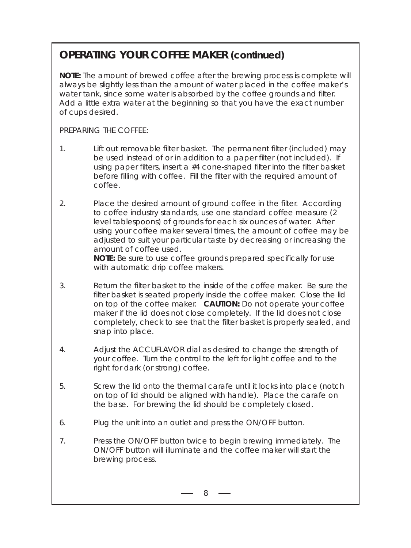## **OPERATING YOUR COFFEE MAKER (continued)**

**NOTE:** The amount of brewed coffee after the brewing process is complete will always be slightly less than the amount of water placed in the coffee maker's water tank, since some water is absorbed by the coffee grounds and filter. Add a little extra water at the beginning so that you have the exact number of cups desired.

PREPARING THE COFFEE:

- 1. Lift out removable filter basket. The permanent filter (included) may be used instead of or in addition to a paper filter (not included). If using paper filters, insert a #4 cone-shaped filter into the filter basket before filling with coffee. Fill the filter with the required amount of coffee.
- 2. Place the desired amount of ground coffee in the filter. According to coffee industry standards, use one standard coffee measure (2 level tablespoons) of grounds for each six ounces of water. After using your coffee maker several times, the amount of coffee may be adjusted to suit your particular taste by decreasing or increasing the amount of coffee used. **NOTE:** Be sure to use coffee grounds prepared specifically for use with automatic drip coffee makers.
- 3. Return the filter basket to the inside of the coffee maker. Be sure the filter basket is seated properly inside the coffee maker. Close the lid on top of the coffee maker. **CAUTION:** Do not operate your coffee maker if the lid does not close completely. If the lid does not close completely, check to see that the filter basket is properly sealed, and snap into place.
- 4. Adjust the ACCUFLAVOR dial as desired to change the strength of your coffee. Turn the control to the left for light coffee and to the right for dark (or strong) coffee.
- 5. Screw the lid onto the thermal carafe until it locks into place (notch on top of lid should be aligned with handle). Place the carafe on the base. For brewing the lid should be completely closed.
- 6. Plug the unit into an outlet and press the ON/OFF button.
- 7. Press the ON/OFF button twice to begin brewing immediately. The ON/OFF button will illuminate and the coffee maker will start the brewing process.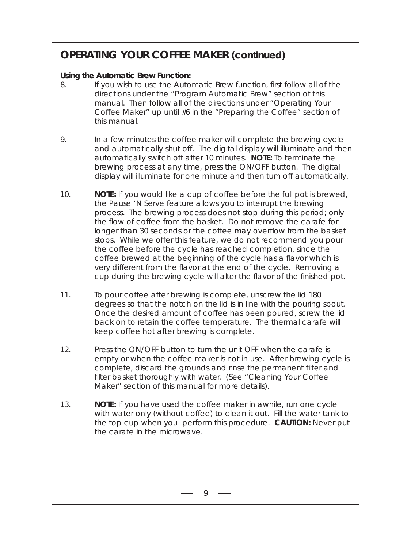### **OPERATING YOUR COFFEE MAKER (continued)**

#### **Using the Automatic Brew Function:**

- 8. If you wish to use the Automatic Brew function, first follow all of the directions under the "Program Automatic Brew" section of this manual. Then follow all of the directions under "Operating Your Coffee Maker" up until #6 in the "Preparing the Coffee" section of this manual.
- 9. In a few minutes the coffee maker will complete the brewing cycle and automatically shut off. The digital display will illuminate and then automatically switch off after 10 minutes. **NOTE:** To terminate the brewing process at any time, press the ON/OFF button. The digital display will illuminate for one minute and then turn off automatically.
- 10. **NOTE:** If you would like a cup of coffee before the full pot is brewed, the Pause 'N Serve feature allows you to interrupt the brewing process. The brewing process does not stop during this period; only the flow of coffee from the basket. Do not remove the carafe for longer than 30 seconds or the coffee may overflow from the basket stops. While we offer this feature, we do not recommend you pour the coffee before the cycle has reached completion, since the coffee brewed at the beginning of the cycle has a flavor which is very different from the flavor at the end of the cycle. Removing a cup during the brewing cycle will alter the flavor of the finished pot.
- 11. To pour coffee after brewing is complete, unscrew the lid 180 degrees so that the notch on the lid is in line with the pouring spout. Once the desired amount of coffee has been poured, screw the lid back on to retain the coffee temperature. The thermal carafe will keep coffee hot after brewing is complete.
- 12. Press the ON/OFF button to turn the unit OFF when the carafe is empty or when the coffee maker is not in use. After brewing cycle is complete, discard the grounds and rinse the permanent filter and filter basket thoroughly with water. (See "Cleaning Your Coffee Maker" section of this manual for more details).
- 13. **NOTE:** If you have used the coffee maker in awhile, run one cycle with water only (without coffee) to clean it out. Fill the water tank to the top cup when you perform this procedure. **CAUTION:** Never put the carafe in the microwave.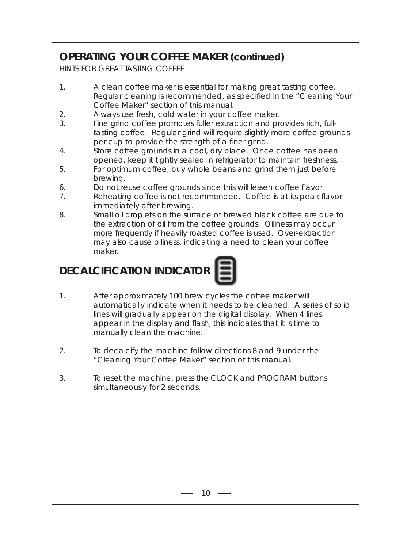## **OPERATING YOUR COFFEE MAKER (continued)**

HINTS FOR GREAT TASTING COFFEE

- 1. A clean coffee maker is essential for making great tasting coffee. Regular cleaning is recommended, as specified in the "Cleaning Your Coffee Maker" section of this manual.
- 2. Always use fresh, cold water in your coffee maker.
- 3. Fine grind coffee promotes fuller extraction and provides rich, fulltasting coffee. Regular grind will require slightly more coffee grounds per cup to provide the strength of a finer grind.
- 4. Store coffee grounds in a cool, dry place. Once coffee has been opened, keep it tightly sealed in refrigerator to maintain freshness.
- 5. For optimum coffee, buy whole beans and grind them just before brewing.
- 6. Do not reuse coffee grounds since this will lessen coffee flavor.
- 7. Reheating coffee is not recommended. Coffee is at its peak flavor immediately after brewing.
- 8. Small oil droplets on the surface of brewed black coffee are due to the extraction of oil from the coffee grounds. Oiliness may occur more frequently if heavily roasted coffee is used. Over-extraction may also cause oiliness, indicating a need to clean your coffee maker.

# **DECALCIFICATION INDICATOR**



- 1. After approximately 100 brew cycles the coffee maker will automatically indicate when it needs to be cleaned. A series of solid lines will gradually appear on the digital display. When 4 lines appear in the display and flash, this indicates that it is time to manually clean the machine.
- 2. To decalcify the machine follow directions 8 and 9 under the "Cleaning Your Coffee Maker" section of this manual.
- 3. To reset the machine, press the CLOCK and PROGRAM buttons simultaneously for 2 seconds.

 $10 -$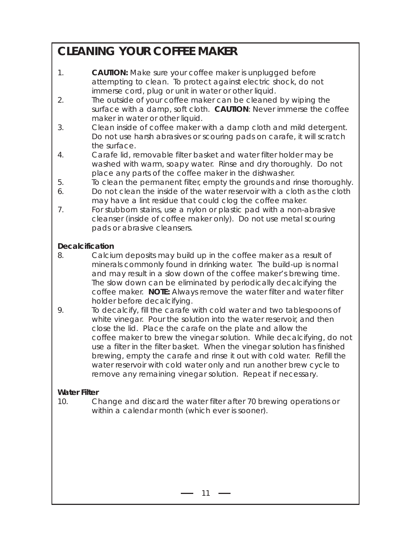# **CLEANING YOUR COFFEE MAKER**

- 1. **CAUTION:** Make sure your coffee maker is unplugged before attempting to clean. To protect against electric shock, do not immerse cord, plug or unit in water or other liquid.
- 2. The outside of your coffee maker can be cleaned by wiping the surface with a damp, soft cloth. **CAUTION**: Never immerse the coffee maker in water or other liquid.
- 3. Clean inside of coffee maker with a damp cloth and mild detergent. Do not use harsh abrasives or scouring pads on carafe, it will scratch the surface.
- 4. Carafe lid, removable filter basket and water filter holder may be washed with warm, soapy water. Rinse and dry thoroughly. Do not place any parts of the coffee maker in the dishwasher.
- 5. To clean the permanent filter, empty the grounds and rinse thoroughly.
- 6. Do not clean the inside of the water reservoir with a cloth as the cloth may have a lint residue that could clog the coffee maker.
- 7. For stubborn stains, use a nylon or plastic pad with a non-abrasive cleanser (inside of coffee maker only). Do not use metal scouring pads or abrasive cleansers.

#### **Decalcification**

- 8. Calcium deposits may build up in the coffee maker as a result of minerals commonly found in drinking water. The build-up is normal and may result in a slow down of the coffee maker's brewing time. The slow down can be eliminated by periodically decalcifying the coffee maker. **NOTE:** Always remove the water filter and water filter holder before decalcifying.
- 9. To decalcify, fill the carafe with cold water and two tablespoons of white vinegar. Pour the solution into the water reservoir, and then close the lid. Place the carafe on the plate and allow the coffee maker to brew the vinegar solution. While decalcifying, do not use a filter in the filter basket. When the vinegar solution has finished brewing, empty the carafe and rinse it out with cold water. Refill the water reservoir with cold water only and run another brew cycle to remove any remaining vinegar solution. Repeat if necessary.

### **Water Filter**

10. Change and discard the water filter after 70 brewing operations or within a calendar month (which ever is sooner).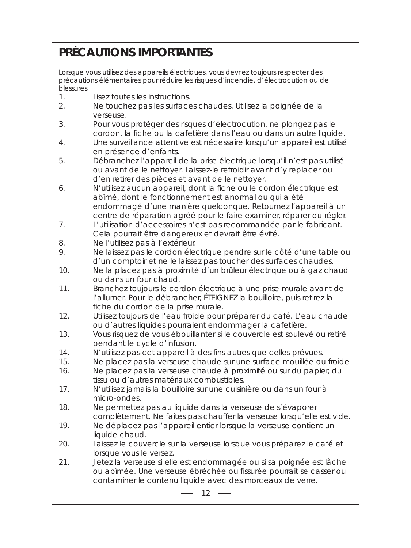# **PRÉCAUTIONS IMPORTANTES**

Lorsque vous utilisez des appareils électriques, vous devriez toujours respecter des précautions élémentaires pour réduire les risques d'incendie, d'électrocution ou de blessures.

- 1. Lisez toutes les instructions.
- 2. Ne touchez pas les surfaces chaudes. Utilisez la poignée de la verseuse.
- 3. Pour vous protéger des risques d'électrocution, ne plongez pas le cordon, la fiche ou la cafetière dans l'eau ou dans un autre liquide.
- 4. Une surveillance attentive est nécessaire lorsqu'un appareil est utilisé en présence d'enfants.
- 5. Débranchez l'appareil de la prise électrique lorsqu'il n'est pas utilisé ou avant de le nettoyer. Laissez-le refroidir avant d'y replacer ou d'en retirer des pièces et avant de le nettoyer.
- 6. N'utilisez aucun appareil, dont la fiche ou le cordon électrique est abîmé, dont le fonctionnement est anormal ou qui a été endommagé d'une manière quelconque. Retournez l'appareil à un centre de réparation agréé pour le faire examiner, réparer ou régler.
- 7. L'utilisation d'accessoires n'est pas recommandée par le fabricant. Cela pourrait être dangereux et devrait être évité.
- 8. Ne l'utilisez pas à l'extérieur.
- 9. Ne laissez pas le cordon électrique pendre sur le côté d'une table ou d'un comptoir et ne le laissez pas toucher des surfaces chaudes.
- 10. Ne la placez pas à proximité d'un brûleur électrique ou à gaz chaud ou dans un four chaud.
- 11. Branchez toujours le cordon électrique à une prise murale avant de l'allumer. Pour le débrancher, ÉTEIGNEZ la bouilloire, puis retirez la fiche du cordon de la prise murale.
- 12. Utilisez toujours de l'eau froide pour préparer du café. L'eau chaude ou d'autres liquides pourraient endommager la cafetière.
- 13. Vous risquez de vous ébouillanter si le couvercle est soulevé ou retiré pendant le cycle d'infusion.
- 14. N'utilisez pas cet appareil à des fins autres que celles prévues.
- 15. Ne placez pas la verseuse chaude sur une surface mouillée ou froide
- 16. Ne placez pas la verseuse chaude à proximité ou sur du papier, du tissu ou d'autres matériaux combustibles.
- 17. N'utilisez jamais la bouilloire sur une cuisinière ou dans un four à micro-ondes.
- 18. Ne permettez pas au liquide dans la verseuse de s'évaporer complètement. Ne faites pas chauffer la verseuse lorsqu'elle est vide.
- 19. Ne déplacez pas l'appareil entier lorsque la verseuse contient un liquide chaud.
- 20. Laissez le couvercle sur la verseuse lorsque vous préparez le café et lorsque vous le versez.
- 21. Jetez la verseuse si elle est endommagée ou si sa poignée est lâche ou abîmée. Une verseuse ébréchée ou fissurée pourrait se casser ou contaminer le contenu liquide avec des morceaux de verre.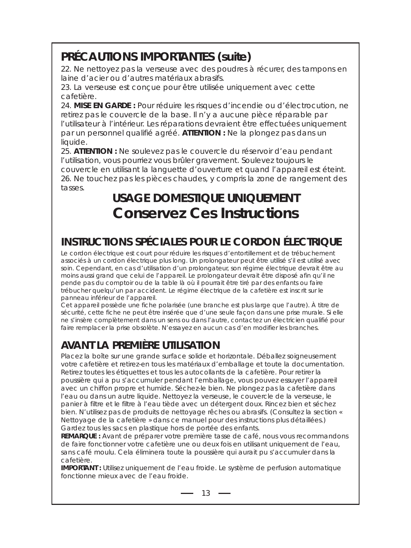# **PRÉCAUTIONS IMPORTANTES (suite)**

22. Ne nettoyez pas la verseuse avec des poudres à récurer, des tampons en laine d'acier ou d'autres matériaux abrasifs.

23. La verseuse est conçue pour être utilisée uniquement avec cette cafetière.

24. **MISE EN GARDE :** Pour réduire les risques d'incendie ou d'électrocution, ne retirez pas le couvercle de la base. Il n'y a aucune pièce réparable par l'utilisateur à l'intérieur. Les réparations devraient être effectuées uniquement par un personnel qualifié agréé. **ATTENTION :** Ne la plongez pas dans un liquide.

25. **ATTENTION :** Ne soulevez pas le couvercle du réservoir d'eau pendant l'utilisation, vous pourriez vous brûler gravement. Soulevez toujours le couvercle en utilisant la languette d'ouverture et quand l'appareil est éteint. 26. Ne touchez pas les pièces chaudes, y compris la zone de rangement des tasses.

# **USAGE DOMESTIQUE UNIQUEMENT Conservez Ces Instructions**

## **INSTRUCTIONS SPÉCIALES POUR LE CORDON ÉLECTRIQUE**

Le cordon électrique est court pour réduire les risques d'entortillement et de trébuchement associés à un cordon électrique plus long. Un prolongateur peut être utilisé s'il est utilisé avec soin. Cependant, en cas d'utilisation d'un prolongateur, son régime électrique devrait être au moins aussi grand que celui de l'appareil. Le prolongateur devrait être disposé afin qu'il ne pende pas du comptoir ou de la table là où il pourrait être tiré par des enfants ou faire trébucher quelqu'un par accident. Le régime électrique de la cafetière est inscrit sur le panneau inférieur de l'appareil.

Cet appareil possède une fiche polarisée (une branche est plus large que l'autre). À titre de sécurité, cette fiche ne peut être insérée que d'une seule façon dans une prise murale. Si elle ne s'insère complètement dans un sens ou dans l'autre, contactez un électricien qualifié pour faire remplacer la prise obsolète. N'essayez en aucun cas d'en modifier les branches.

# **AVANT LA PREMIÈRE UTILISATION**

Placez la boîte sur une grande surface solide et horizontale. Déballez soigneusement votre cafetière et retirez-en tous les matériaux d'emballage et toute la documentation. Retirez toutes les étiquettes et tous les autocollants de la cafetière. Pour retirer la poussière qui a pu s'accumuler pendant l'emballage, vous pouvez essuyer l'appareil avec un chiffon propre et humide. Séchez-le bien. Ne plongez pas la cafetière dans l'eau ou dans un autre liquide. Nettoyez la verseuse, le couvercle de la verseuse, le panier à filtre et le filtre à l'eau tiède avec un détergent doux. Rincez bien et séchez bien. N'utilisez pas de produits de nettoyage rêches ou abrasifs. (Consultez la section « Nettoyage de la cafetière » dans ce manuel pour des instructions plus détaillées.) Gardez tous les sacs en plastique hors de portée des enfants.

**REMARQUE :** Avant de préparer votre première tasse de café, nous vous recommandons de faire fonctionner votre cafetière une ou deux fois en utilisant uniquement de l'eau, sans café moulu. Cela éliminera toute la poussière qui aurait pu s'accumuler dans la cafetière.

**IMPORTANT :** Utilisez uniquement de l'eau froide. Le système de perfusion automatique fonctionne mieux avec de l'eau froide.

 $-13 -$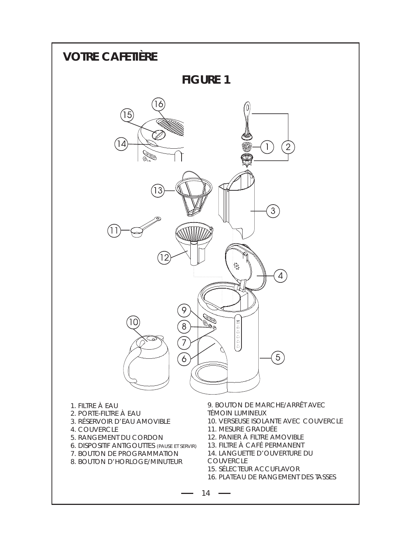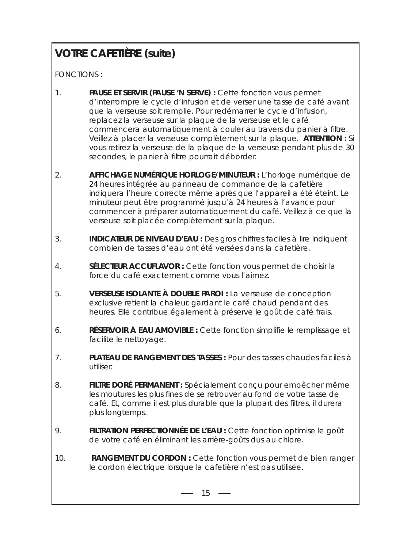# **VOTRE CAFETIÈRE (suite)**

FONCTIONS :

- 1. **PAUSE ET SERVIR (PAUSE 'N SERVE) :** Cette fonction vous permet d'interrompre le cycle d'infusion et de verser une tasse de café avant que la verseuse soit remplie. Pour redémarrer le cycle d'infusion, replacez la verseuse sur la plaque de la verseuse et le café commencera automatiquement à couler au travers du panier à filtre. Veillez à placer la verseuse complètement sur la plaque. **ATTENTION :** Si vous retirez la verseuse de la plaque de la verseuse pendant plus de 30 secondes, le panier à filtre pourrait déborder.
- 2. **AFFICHAGE NUMÉRIQUE HORLOGE/MINUTEUR :** L'horloge numérique de 24 heures intégrée au panneau de commande de la cafetière indiquera l'heure correcte même après que l'appareil a été éteint. Le minuteur peut être programmé jusqu'à 24 heures à l'avance pour commencer à préparer automatiquement du café. Veillez à ce que la verseuse soit placée complètement sur la plaque.
- 3. **INDICATEUR DE NIVEAU D'EAU :** Des gros chiffres faciles à lire indiquent combien de tasses d'eau ont été versées dans la cafetière.
- 4. **SÉLECTEUR ACCUFLAVOR :** Cette fonction vous permet de choisir la force du café exactement comme vous l'aimez.
- 5. **VERSEUSE ISOLANTE À DOUBLE PAROI :** La verseuse de conception exclusive retient la chaleur, gardant le café chaud pendant des heures. Elle contribue également à préserve le goût de café frais.
- 6. **RÉSERVOIR À EAU AMOVIBLE :** Cette fonction simplifie le remplissage et facilite le nettoyage.
- 7. **PLATEAU DE RANGEMENT DES TASSES :** Pour des tasses chaudes faciles à utiliser.
- 8. **FILTRE DORÉ PERMANENT :** Spécialement conçu pour empêcher même les moutures les plus fines de se retrouver au fond de votre tasse de café. Et, comme il est plus durable que la plupart des filtres, il durera plus longtemps.
- 9. **FILTRATION PERFECTIONNÉE DE L'EAU :** Cette fonction optimise le goût de votre café en éliminant les arrière-goûts dus au chlore.
- 10. **RANGEMENT DU CORDON :** Cette fonction vous permet de bien ranger le cordon électrique lorsque la cafetière n'est pas utilisée.

 $-15 -$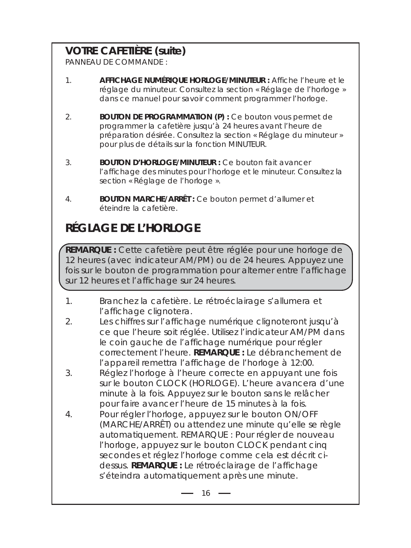## **VOTRE CAFETIÈRE (suite)**

PANNEAU DE COMMANDE :

- 1. **AFFICHAGE NUMÉRIQUE HORLOGE/MINUTEUR :** Affiche l'heure et le réglage du minuteur. Consultez la section « Réglage de l'horloge » dans ce manuel pour savoir comment programmer l'horloge.
- 2. **BOUTON DE PROGRAMMATION (P) :** Ce bouton vous permet de programmer la cafetière jusqu'à 24 heures avant l'heure de préparation désirée. Consultez la section « Réglage du minuteur » pour plus de détails sur la fonction MINUTEUR.
- 3. **BOUTON D'HORLOGE/MINUTEUR :** Ce bouton fait avancer l'affichage des minutes pour l'horloge et le minuteur. Consultez la section « Réglage de l'horloge ».
- 4. **BOUTON MARCHE/ARRÊT :** Ce bouton permet d'allumer et éteindre la cafetière.

# **RÉGLAGE DE L'HORLOGE**

**REMARQUE :** Cette cafetière peut être réglée pour une horloge de 12 heures (avec indicateur AM/PM) ou de 24 heures. Appuyez une fois sur le bouton de programmation pour alterner entre l'affichage sur 12 heures et l'affichage sur 24 heures.

- 1. Branchez la cafetière. Le rétroéclairage s'allumera et l'affichage clignotera.
- 2. Les chiffres sur l'affichage numérique clignoteront jusqu'à ce que l'heure soit réglée. Utilisez l'indicateur AM/PM dans le coin gauche de l'affichage numérique pour régler correctement l'heure. **REMARQUE :** Le débranchement de l'appareil remettra l'affichage de l'horloge à 12:00.
- 3. Réglez l'horloge à l'heure correcte en appuyant une fois sur le bouton CLOCK (HORLOGE). L'heure avancera d'une minute à la fois. Appuyez sur le bouton sans le relâcher pour faire avancer l'heure de 15 minutes à la fois.
- 4. Pour régler l'horloge, appuyez sur le bouton ON/OFF (MARCHE/ARRÊT) ou attendez une minute qu'elle se règle automatiquement. REMARQUE : Pour régler de nouveau l'horloge, appuyez sur le bouton CLOCK pendant cinq secondes et réglez l'horloge comme cela est décrit cidessus. **REMARQUE :** Le rétroéclairage de l'affichage s'éteindra automatiquement après une minute.

 $16 -$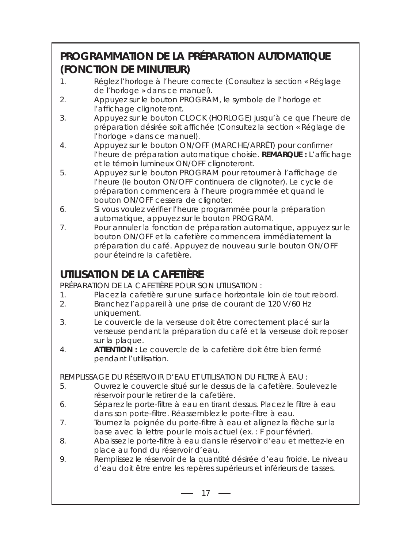## **PROGRAMMATION DE LA PRÉPARATION AUTOMATIQUE (FONCTION DE MINUTEUR)**

- 1. Réglez l'horloge à l'heure correcte (Consultez la section « Réglage de l'horloge » dans ce manuel).
- 2. Appuyez sur le bouton PROGRAM, le symbole de l'horloge et l'affichage clignoteront.
- 3. Appuyez sur le bouton CLOCK (HORLOGE) jusqu'à ce que l'heure de préparation désirée soit affichée (Consultez la section « Réglage de l'horloge » dans ce manuel).
- 4. Appuyez sur le bouton ON/OFF (MARCHE/ARRÊT) pour confirmer l'heure de préparation automatique choisie. **REMARQUE :** L'affichage et le témoin lumineux ON/OFF clignoteront.
- 5. Appuyez sur le bouton PROGRAM pour retourner à l'affichage de l'heure (le bouton ON/OFF continuera de clignoter). Le cycle de préparation commencera à l'heure programmée et quand le bouton ON/OFF cessera de clignoter.
- 6. Si vous voulez vérifier l'heure programmée pour la préparation automatique, appuyez sur le bouton PROGRAM.
- 7. Pour annuler la fonction de préparation automatique, appuyez sur le bouton ON/OFF et la cafetière commencera immédiatement la préparation du café. Appuyez de nouveau sur le bouton ON/OFF pour éteindre la cafetière.

## **UTILISATION DE LA CAFETIÈRE**

PRÉPARATION DE LA CAFETIÈRE POUR SON UTILISATION :

- 1. Placez la cafetière sur une surface horizontale loin de tout rebord.
- 2. Branchez l'appareil à une prise de courant de 120 V/60 Hz uniquement.
- 3. Le couvercle de la verseuse doit être correctement placé sur la verseuse pendant la préparation du café et la verseuse doit reposer sur la plaque.
- 4. **ATTENTION :** Le couvercle de la cafetière doit être bien fermé pendant l'utilisation.

REMPLISSAGE DU RÉSERVOIR D'EAU ET UTILISATION DU FILTRE À EAU :

- 5. Ouvrez le couvercle situé sur le dessus de la cafetière. Soulevez le réservoir pour le retirer de la cafetière.
- 6. Séparez le porte-filtre à eau en tirant dessus. Placez le filtre à eau dans son porte-filtre. Réassemblez le porte-filtre à eau.
- 7. Tournez la poignée du porte-filtre à eau et alignez la flèche sur la base avec la lettre pour le mois actuel (ex. : F pour février).
- 8. Abaissez le porte-filtre à eau dans le réservoir d'eau et mettez-le en place au fond du réservoir d'eau.
- 9. Remplissez le réservoir de la quantité désirée d'eau froide. Le niveau d'eau doit être entre les repères supérieurs et inférieurs de tasses.

 $-17 -$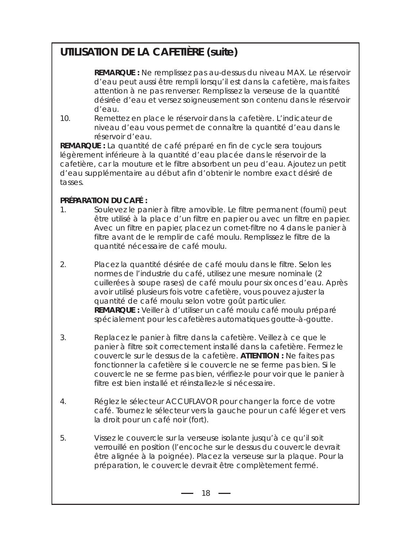## **UTILISATION DE LA CAFETIÈRE (suite)**

**REMARQUE :** Ne remplissez pas au-dessus du niveau MAX. Le réservoir d'eau peut aussi être rempli lorsqu'il est dans la cafetière, mais faites attention à ne pas renverser. Remplissez la verseuse de la quantité désirée d'eau et versez soigneusement son contenu dans le réservoir d'eau.

10. Remettez en place le réservoir dans la cafetière. L'indicateur de niveau d'eau vous permet de connaître la quantité d'eau dans le réservoir d'eau.

**REMARQUE :** La quantité de café préparé en fin de cycle sera toujours légèrement inférieure à la quantité d'eau placée dans le réservoir de la cafetière, car la mouture et le filtre absorbent un peu d'eau. Ajoutez un petit d'eau supplémentaire au début afin d'obtenir le nombre exact désiré de tasses.

### **PRÉPARATION DU CAFÉ :**

- 1. Soulevez le panier à filtre amovible. Le filtre permanent (fourni) peut être utilisé à la place d'un filtre en papier ou avec un filtre en papier. Avec un filtre en papier, placez un cornet-filtre no 4 dans le panier à filtre avant de le remplir de café moulu. Remplissez le filtre de la quantité nécessaire de café moulu.
- 2. Placez la quantité désirée de café moulu dans le filtre. Selon les normes de l'industrie du café, utilisez une mesure nominale (2 cuillerées à soupe rases) de café moulu pour six onces d'eau. Après avoir utilisé plusieurs fois votre cafetière, vous pouvez ajuster la quantité de café moulu selon votre goût particulier. **REMARQUE :** Veiller à d'utiliser un café moulu café moulu préparé spécialement pour les cafetières automatiques goutte-à-goutte.
- 3. Replacez le panier à filtre dans la cafetière. Veillez à ce que le panier à filtre soit correctement installé dans la cafetière. Fermez le couvercle sur le dessus de la cafetière. **ATTENTION :** Ne faites pas fonctionner la cafetière si le couvercle ne se ferme pas bien. Si le couvercle ne se ferme pas bien, vérifiez-le pour voir que le panier à filtre est bien installé et réinstallez-le si nécessaire.
- 4. Réglez le sélecteur ACCUFLAVOR pour changer la force de votre café. Tournez le sélecteur vers la gauche pour un café léger et vers la droit pour un café noir (fort).
- 5. Vissez le couvercle sur la verseuse isolante jusqu'à ce qu'il soit verrouillé en position (l'encoche sur le dessus du couvercle devrait être alignée à la poignée). Placez la verseuse sur la plaque. Pour la préparation, le couvercle devrait être complètement fermé.

 $-18$   $-$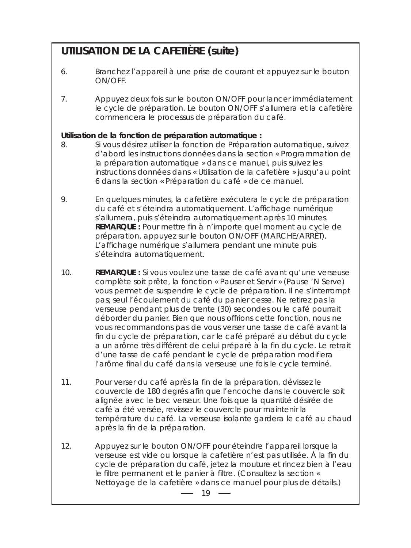### **UTILISATION DE LA CAFETIÈRE (suite)**

- 6. Branchez l'appareil à une prise de courant et appuyez sur le bouton ON/OFF.
- 7. Appuyez deux fois sur le bouton ON/OFF pour lancer immédiatement le cycle de préparation. Le bouton ON/OFF s'allumera et la cafetière commencera le processus de préparation du café.

#### **Utilisation de la fonction de préparation automatique :**

- 8. Si vous désirez utiliser la fonction de Préparation automatique, suivez d'abord les instructions données dans la section « Programmation de la préparation automatique » dans ce manuel, puis suivez les instructions données dans « Utilisation de la cafetière » jusqu'au point 6 dans la section « Préparation du café » de ce manuel.
- 9. En quelques minutes, la cafetière exécutera le cycle de préparation du café et s'éteindra automatiquement. L'affichage numérique s'allumera, puis s'éteindra automatiquement après 10 minutes. **REMARQUE :** Pour mettre fin à n'importe quel moment au cycle de préparation, appuyez sur le bouton ON/OFF (MARCHE/ARRÊT). L'affichage numérique s'allumera pendant une minute puis s'éteindra automatiquement.
- 10. **REMARQUE :** Si vous voulez une tasse de café avant qu'une verseuse complète soit prête, la fonction « Pauser et Servir » (Pause 'N Serve) vous permet de suspendre le cycle de préparation. Il ne s'interrompt pas; seul l'écoulement du café du panier cesse. Ne retirez pas la verseuse pendant plus de trente (30) secondes ou le café pourrait déborder du panier. Bien que nous offrions cette fonction, nous ne vous recommandons pas de vous verser une tasse de café avant la fin du cycle de préparation, car le café préparé au début du cycle a un arôme très différent de celui préparé à la fin du cycle. Le retrait d'une tasse de café pendant le cycle de préparation modifiera l'arôme final du café dans la verseuse une fois le cycle terminé.
- 11. Pour verser du café après la fin de la préparation, dévissez le couvercle de 180 degrés afin que l'encoche dans le couvercle soit alignée avec le bec verseur. Une fois que la quantité désirée de café a été versée, revissez le couvercle pour maintenir la température du café. La verseuse isolante gardera le café au chaud après la fin de la préparation.
- 12. Appuyez sur le bouton ON/OFF pour éteindre l'appareil lorsque la verseuse est vide ou lorsque la cafetière n'est pas utilisée. À la fin du cycle de préparation du café, jetez la mouture et rincez bien à l'eau le filtre permanent et le panier à filtre. (Consultez la section « Nettoyage de la cafetière » dans ce manuel pour plus de détails.)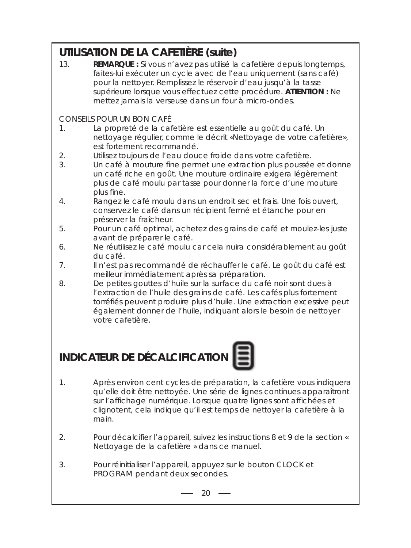## **UTILISATION DE LA CAFETIÈRE (suite)**

13. **REMARQUE :** Si vous n'avez pas utilisé la cafetière depuis longtemps, faites-lui exécuter un cycle avec de l'eau uniquement (sans café) pour la nettoyer. Remplissez le réservoir d'eau jusqu'à la tasse supérieure lorsque vous effectuez cette procédure. **ATTENTION :** Ne mettez jamais la verseuse dans un four à micro-ondes.

### CONSEILS POUR UN BON CAFÉ

- 1. La propreté de la cafetière est essentielle au goût du café. Un nettoyage régulier, comme le décrit «Nettoyage de votre cafetière», est fortement recommandé.
- 2. Utilisez toujours de l'eau douce froide dans votre cafetière.
- 3. Un café à mouture fine permet une extraction plus poussée et donne un café riche en goût. Une mouture ordinaire exigera légèrement plus de café moulu par tasse pour donner la force d'une mouture plus fine.
- 4. Rangez le café moulu dans un endroit sec et frais. Une fois ouvert, conservez le café dans un récipient fermé et étanche pour en préserver la fraîcheur.
- 5. Pour un café optimal, achetez des grains de café et moulez-les juste avant de préparer le café.
- 6. Ne réutilisez le café moulu car cela nuira considérablement au goût du café.
- 7. Il n'est pas recommandé de réchauffer le café. Le goût du café est meilleur immédiatement après sa préparation.
- 8. De petites gouttes d'huile sur la surface du café noir sont dues à l'extraction de l'huile des grains de café. Les cafés plus fortement torréfiés peuvent produire plus d'huile. Une extraction excessive peut également donner de l'huile, indiquant alors le besoin de nettoyer votre cafetière.

# **INDICATEUR DE DÉCALCIFICATION**

- 1. Après environ cent cycles de préparation, la cafetière vous indiquera qu'elle doit être nettoyée. Une série de lignes continues apparaîtront sur l'affichage numérique. Lorsque quatre lignes sont affichées et clignotent, cela indique qu'il est temps de nettoyer la cafetière à la main.
	- 2. Pour décalcifier l'appareil, suivez les instructions 8 et 9 de la section « Nettoyage de la cafetière » dans ce manuel.
	- 3. Pour réinitialiser l'appareil, appuyez sur le bouton CLOCK et PROGRAM pendant deux secondes.

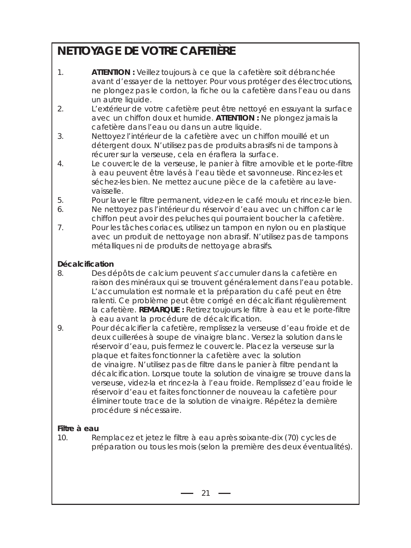# **NETTOYAGE DE VOTRE CAFETIÈRE**

- 1. **ATTENTION :** Veillez toujours à ce que la cafetière soit débranchée avant d'essayer de la nettoyer. Pour vous protéger des électrocutions, ne plongez pas le cordon, la fiche ou la cafetière dans l'eau ou dans un autre liquide.
- 2. L'extérieur de votre cafetière peut être nettoyé en essuyant la surface avec un chiffon doux et humide. **ATTENTION :** Ne plongez jamais la cafetière dans l'eau ou dans un autre liquide.
- 3. Nettoyez l'intérieur de la cafetière avec un chiffon mouillé et un détergent doux. N'utilisez pas de produits abrasifs ni de tampons à récurer sur la verseuse, cela en éraflera la surface.
- 4. Le couvercle de la verseuse, le panier à filtre amovible et le porte-filtre à eau peuvent être lavés à l'eau tiède et savonneuse. Rincez-les et séchez-les bien. Ne mettez aucune pièce de la cafetière au lavevaisselle.
- 5. Pour laver le filtre permanent, videz-en le café moulu et rincez-le bien.
- 6. Ne nettoyez pas l'intérieur du réservoir d'eau avec un chiffon car le chiffon peut avoir des peluches qui pourraient boucher la cafetière.
- 7. Pour les tâches coriaces, utilisez un tampon en nylon ou en plastique avec un produit de nettoyage non abrasif. N'utilisez pas de tampons métalliques ni de produits de nettoyage abrasifs.

#### **Décalcification**

- 8. Des dépôts de calcium peuvent s'accumuler dans la cafetière en raison des minéraux qui se trouvent généralement dans l'eau potable. L'accumulation est normale et la préparation du café peut en être ralenti. Ce problème peut être corrigé en décalcifiant régulièrement la cafetière. **REMARQUE :** Retirez toujours le filtre à eau et le porte-filtre à eau avant la procédure de décalcification.
- 9. Pour décalcifier la cafetière, remplissez la verseuse d'eau froide et de deux cuillerées à soupe de vinaigre blanc. Versez la solution dans le réservoir d'eau, puis fermez le couvercle. Placez la verseuse sur la plaque et faites fonctionner la cafetière avec la solution de vinaigre. N'utilisez pas de filtre dans le panier à filtre pendant la décalcification. Lorsque toute la solution de vinaigre se trouve dans la verseuse, videz-la et rincez-la à l'eau froide. Remplissez d'eau froide le réservoir d'eau et faites fonctionner de nouveau la cafetière pour éliminer toute trace de la solution de vinaigre. Répétez la dernière procédure si nécessaire.

#### **Filtre à eau**

10. Remplacez et jetez le filtre à eau après soixante-dix (70) cycles de préparation ou tous les mois (selon la première des deux éventualités).

 $-21 -$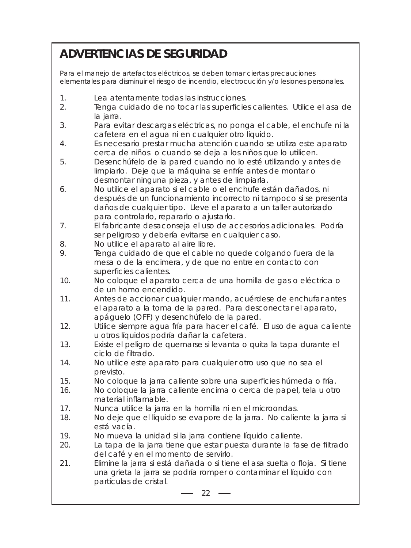# **ADVERTENCIAS DE SEGURIDAD**

Para el manejo de artefactos eléctricos, se deben tomar ciertas precauciones elementales para disminuir el riesgo de incendio, electrocución y/o lesiones personales.

- 1. Lea atentamente todas las instrucciones.
- 2. Tenga cuidado de no tocar las superficies calientes. Utilice el asa de la jarra.
- 3. Para evitar descargas eléctricas, no ponga el cable, el enchufe ni la cafetera en el agua ni en cualquier otro líquido.
- 4. Es necesario prestar mucha atención cuando se utiliza este aparato cerca de niños o cuando se deja a los niños que lo utilicen.
- 5. Desenchúfelo de la pared cuando no lo esté utilizando y antes de limpiarlo. Deje que la máquina se enfríe antes de montar o desmontar ninguna pieza, y antes de limpiarla.
- 6. No utilice el aparato si el cable o el enchufe están dañados, ni después de un funcionamiento incorrecto ni tampoco si se presenta daños de cualquier tipo. Lleve el aparato a un taller autorizado para controlarlo, repararlo o ajustarlo.
- 7. El fabricante desaconseja el uso de accesorios adicionales. Podría ser peligroso y debería evitarse en cualquier caso.
- 8. No utilice el aparato al aire libre.
- 9. Tenga cuidado de que el cable no quede colgando fuera de la mesa o de la encimera, y de que no entre en contacto con superficies calientes.
- 10. No coloque el aparato cerca de una hornilla de gas o eléctrica o de un horno encendido.
- 11. Antes de accionar cualquier mando, acuérdese de enchufar antes el aparato a la toma de la pared. Para desconectar el aparato, apáguelo (OFF) y desenchúfelo de la pared.
- 12. Utilice siempre agua fría para hacer el café. El uso de agua caliente u otros líquidos podría dañar la cafetera.
- 13. Existe el peligro de quemarse si levanta o quita la tapa durante el ciclo de filtrado.
- 14. No utilice este aparato para cualquier otro uso que no sea el previsto.
- 15. No coloque la jarra caliente sobre una superficies húmeda o fría.
- 16. No coloque la jarra caliente encima o cerca de papel, tela u otro material inflamable.
- 17. Nunca utilice la jarra en la hornilla ni en el microondas.
- 18. No deje que el líquido se evapore de la jarra. No caliente la jarra si está vacía.
- 19. No mueva la unidad si la jarra contiene líquido caliente.
- 20. La tapa de la jarra tiene que estar puesta durante la fase de filtrado del café y en el momento de servirlo.
- 21. Elimine la jarra si está dañada o si tiene el asa suelta o floja. Si tiene una grieta la jarra se podría romper o contaminar el líquido con partículas de cristal.

 $-22$   $-$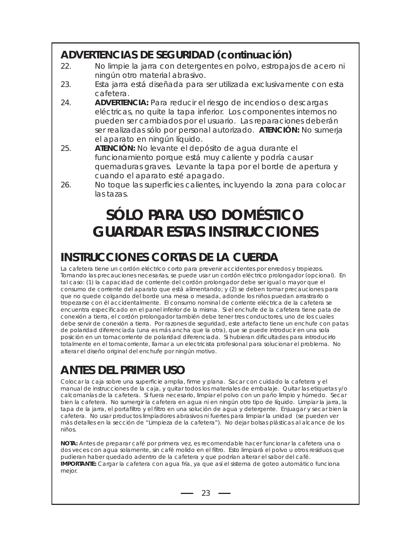## **ADVERTENCIAS DE SEGURIDAD (continuación)**

- 22. No limpie la jarra con detergentes en polvo, estropajos de acero ni ningún otro material abrasivo.
- 23. Esta jarra está diseñada para ser utilizada exclusivamente con esta cafetera.
- 24. **ADVERTENCIA:** Para reducir el riesgo de incendios o descargas eléctricas, no quite la tapa inferior. Los componentes internos no pueden ser cambiados por el usuario. Las reparaciones deberán ser realizadas sólo por personal autorizado. **ATENCIÓN:** No sumerja el aparato en ningún líquido.
- 25. **ATENCIÓN:** No levante el depósito de agua durante el funcionamiento porque está muy caliente y podría causar quemaduras graves. Levante la tapa por el borde de apertura y cuando el aparato esté apagado.
- 26. No toque las superficies calientes, incluyendo la zona para colocar las tazas.

# **SÓLO PARA USO DOMÉSTICO GUARDAR ESTAS INSTRUCCIONES**

# **INSTRUCCIONES CORTAS DE LA CUERDA**

La cafetera tiene un cordón eléctrico corto para prevenir accidentes por enredos y tropiezos. Tomando las precauciones necesarias, se puede usar un cordón eléctrico prolongador (opcional). En tal caso: (1) la capacidad de corriente del cordón prolongador debe ser igual o mayor que el consumo de corriente del aparato que está alimentando; y (2) se deben tomar precauciones para que no quede colgando del borde una mesa o mesada, adonde los niños puedan arrastrarlo o tropezarse con él accidentalmente. El consumo nominal de corriente eléctrica de la cafetera se encuentra especificado en el panel inferior de la misma. Si el enchufe de la cafetera tiene pata de conexión a tierra, el cordón prolongador también debe tener tres conductores, uno de los cuales debe servir de conexión a tierra. Por razones de seguridad, este artefacto tiene un enchufe con patas de polaridad diferenciada (una es más ancha que la otra), que se puede introducir en una sola posición en un tomacorriente de polaridad diferenciada. Si hubieran dificultades para introducirlo totalmente en el tomacorriente, llamar a un electricista profesional para solucionar el problema. No alterar el diseño original del enchufe por ningún motivo.

# **ANTES DEL PRIMER USO**

Colocar la caja sobre una superficie amplia, firme y plana. Sacar con cuidado la cafetera y el manual de instrucciones de la caja, y quitar todos los materiales de embalaje. Quitar las etiquetas y/o calcomanías de la cafetera. Si fuera necesario, limpiar el polvo con un paño limpio y húmedo. Secar bien la cafetera. No sumergir la cafetera en agua ni en ningún otro tipo de líquido. Limpiar la jarra, la tapa de la jarra, el portafiltro y el filtro en una solución de agua y detergente. Enjuagar y secar bien la cafetera. No usar productos limpiadores abrasivos ni fuertes para limpiar la unidad (se pueden ver más detalles en la sección de "Limpieza de la cafetera"). No dejar bolsas plásticas al alcance de los niños.

**NOTA:** Antes de preparar café por primera vez, es recomendable hacer funcionar la cafetera una o dos veces con agua solamente, sin café molido en el filtro. Esto limpiará el polvo u otros residuos que pudieran haber quedado adentro de la cafetera y que podrían alterar el sabor del café. **IMPORTANTE:** Cargar la cafetera con agua fría, ya que así el sistema de goteo automático funciona mejor.

 $-23 -$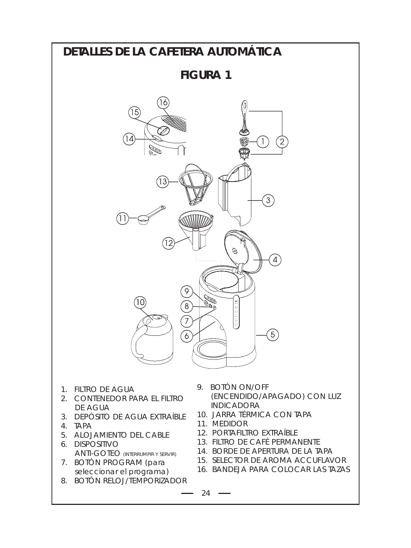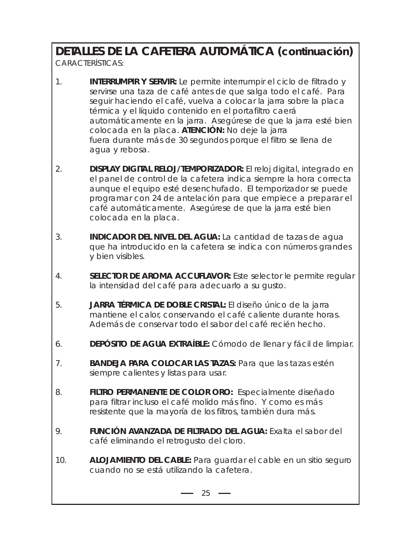# **DETALLES DE LA CAFETERA AUTOMÁTICA (continuación)**

CARACTERÍSTICAS:

- 1. **INTERRUMPIR Y SERVIR:** Le permite interrumpir el ciclo de filtrado y servirse una taza de café antes de que salga todo el café. Para seguir haciendo el café, vuelva a colocar la jarra sobre la placa térmica y el líquido contenido en el portafiltro caerá automáticamente en la jarra. Asegúrese de que la jarra esté bien colocada en la placa. **ATENCIÓN:** No deje la jarra fuera durante más de 30 segundos porque el filtro se llena de agua y rebosa.
- 2. **DISPLAY DIGITAL RELOJ/TEMPORIZADOR:** El reloj digital, integrado en el panel de control de la cafetera indica siempre la hora correcta aunque el equipo esté desenchufado. El temporizador se puede programar con 24 de antelación para que empiece a preparar el café automáticamente. Asegúrese de que la jarra esté bien colocada en la placa.
- 3. **INDICADOR DEL NIVEL DEL AGUA:** La cantidad de tazas de agua que ha introducido en la cafetera se indica con números grandes y bien visibles.
- 4. **SELECTOR DE AROMA ACCUFLAVOR:** Este selector le permite regular la intensidad del café para adecuarlo a su gusto.
- 5. **JARRA TÉRMICA DE DOBLE CRISTAL:** El diseño único de la jarra mantiene el calor, conservando el café caliente durante horas. Además de conservar todo el sabor del café recién hecho.
- 6. **DEPÓSITO DE AGUA EXTRAÍBLE:** Cómodo de llenar y fácil de limpiar.
- 7. **BANDEJA PARA COLOCAR LAS TAZAS:** Para que las tazas estén siempre calientes y listas para usar.
- 8. **FILTRO PERMANENTE DE COLOR ORO:** Especialmente diseñado para filtrar incluso el café molido más fino. Y como es más resistente que la mayoría de los filtros, también dura más.
- 9. **FUNCIÓN AVANZADA DE FILTRADO DEL AGUA:** Exalta el sabor del café eliminando el retrogusto del cloro.
- 10. **ALOJAMIENTO DEL CABLE:** Para guardar el cable en un sitio seguro cuando no se está utilizando la cafetera.

 $-25 -$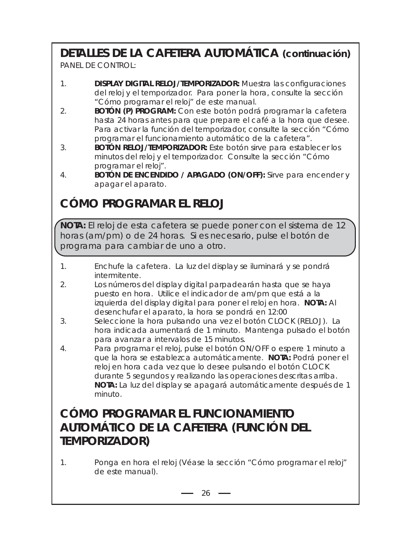# **DETALLES DE LA CAFETERA AUTOMÁTICA (continuación)**

PANEL DE CONTROL:

- 1. **DISPLAY DIGITAL RELOJ/TEMPORIZADOR:** Muestra las configuraciones del reloj y el temporizador. Para poner la hora, consulte la sección "Cómo programar el reloj" de este manual.
- 2. **BOTÓN (P) PROGRAM:** Con este botón podrá programar la cafetera hasta 24 horas antes para que prepare el café a la hora que desee. Para activar la función del temporizador, consulte la sección "Cómo programar el funcionamiento automático de la cafetera".
- 3. **BOTÓN RELOJ/TEMPORIZADOR:** Este botón sirve para establecer los minutos del reloj y el temporizador. Consulte la sección "Cómo programar el reloj".
- 4. **BOTÓN DE ENCENDIDO / APAGADO (ON/OFF):** Sirve para encender y apagar el aparato.

# **CÓMO PROGRAMAR EL RELOJ**

**NOTA:** El reloj de esta cafetera se puede poner con el sistema de 12 horas (am/pm) o de 24 horas. Si es necesario, pulse el botón de programa para cambiar de uno a otro.

- 1. Enchufe la cafetera. La luz del display se iluminará y se pondrá intermitente.
- 2. Los números del display digital parpadearán hasta que se haya puesto en hora. Utilice el indicador de am/pm que está a la izquierda del display digital para poner el reloj en hora. **NOTA:** Al desenchufar el aparato, la hora se pondrá en 12:00
- 3. Seleccione la hora pulsando una vez el botón CLOCK (RELOJ). La hora indicada aumentará de 1 minuto. Mantenga pulsado el botón para avanzar a intervalos de 15 minutos.
- 4. Para programar el reloj, pulse el botón ON/OFF o espere 1 minuto a que la hora se establezca automáticamente. **NOTA:** Podrá poner el reloj en hora cada vez que lo desee pulsando el botón CLOCK durante 5 segundos y realizando las operaciones descritas arriba. **NOTA:** La luz del display se apagará automáticamente después de 1 minuto.

## **CÓMO PROGRAMAR EL FUNCIONAMIENTO AUTOMÁTICO DE LA CAFETERA (FUNCIÓN DEL TEMPORIZADOR)**

1. Ponga en hora el reloj (Véase la sección "Cómo programar el reloj" de este manual).

 $-26$   $-$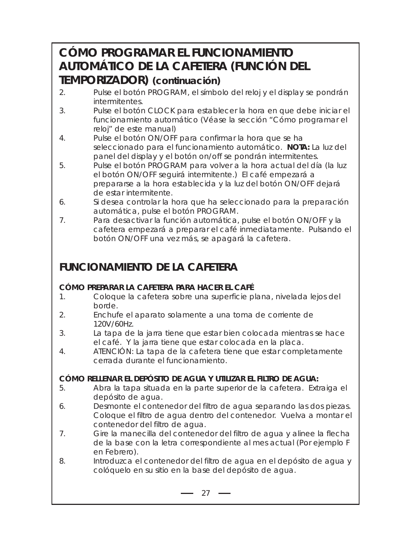## **CÓMO PROGRAMAR EL FUNCIONAMIENTO AUTOMÁTICO DE LA CAFETERA (FUNCIÓN DEL TEMPORIZADOR) (continuación)**

- 2. Pulse el botón PROGRAM, el símbolo del reloj y el display se pondrán intermitentes.
- 3. Pulse el botón CLOCK para establecer la hora en que debe iniciar el funcionamiento automático (Véase la sección "Cómo programar el reloj" de este manual)
- 4. Pulse el botón ON/OFF para confirmar la hora que se ha seleccionado para el funcionamiento automático. **NOTA:** La luz del panel del display y el botón on/off se pondrán intermitentes.
- 5. Pulse el botón PROGRAM para volver a la hora actual del día (la luz el botón ON/OFF seguirá intermitente.) El café empezará a prepararse a la hora establecida y la luz del botón ON/OFF dejará de estar intermitente.
- 6. Si desea controlar la hora que ha seleccionado para la preparación automática, pulse el botón PROGRAM.
- 7. Para desactivar la función automática, pulse el botón ON/OFF y la cafetera empezará a preparar el café inmediatamente. Pulsando el botón ON/OFF una vez más, se apagará la cafetera.

## **FUNCIONAMIENTO DE LA CAFETERA**

### **CÓMO PREPARAR LA CAFETERA PARA HACER EL CAFÉ**

- 1. Coloque la cafetera sobre una superficie plana, nivelada lejos del borde.
- 2. Enchufe el aparato solamente a una toma de corriente de 120V/60Hz.
- 3. La tapa de la jarra tiene que estar bien colocada mientras se hace el café. Y la jarra tiene que estar colocada en la placa.
- 4. ATENCIÓN: La tapa de la cafetera tiene que estar completamente cerrada durante el funcionamiento.

### **CÓMO RELLENAR EL DEPÓSITO DE AGUA Y UTILIZAR EL FILTRO DE AGUA:**

- 5. Abra la tapa situada en la parte superior de la cafetera. Extraiga el depósito de agua.
- 6. Desmonte el contenedor del filtro de agua separando las dos piezas. Coloque el filtro de agua dentro del contenedor. Vuelva a montar el contenedor del filtro de agua.
- 7. Gire la manecilla del contenedor del filtro de agua y alinee la flecha de la base con la letra correspondiente al mes actual (Por ejemplo F en Febrero).
- 8. Introduzca el contenedor del filtro de agua en el depósito de agua y colóquelo en su sitio en la base del depósito de agua.

 $-27 -$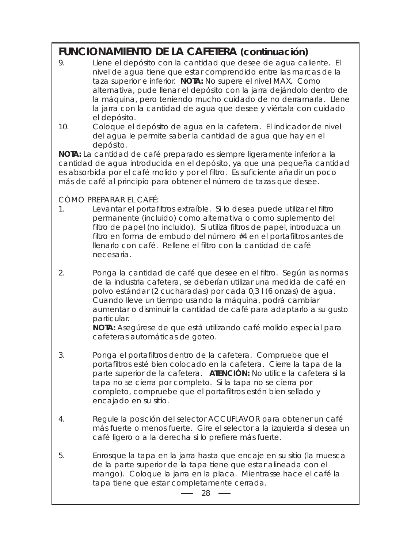### **FUNCIONAMIENTO DE LA CAFETERA (continuación)**

- 9. Llene el depósito con la cantidad que desee de agua caliente. El nivel de agua tiene que estar comprendido entre las marcas de la taza superior e inferior. **NOTA:** No supere el nivel MAX. Como alternativa, pude llenar el depósito con la jarra dejándolo dentro de la máquina, pero teniendo mucho cuidado de no derramarla. Llene la jarra con la cantidad de agua que desee y viértala con cuidado el depósito.
- 10. Coloque el depósito de agua en la cafetera. El indicador de nivel del agua le permite saber la cantidad de agua que hay en el depósito.

**NOTA:** La cantidad de café preparado es siempre ligeramente inferior a la cantidad de agua introducida en el depósito, ya que una pequeña cantidad es absorbida por el café molido y por el filtro. Es suficiente añadir un poco más de café al principio para obtener el número de tazas que desee.

### CÓMO PREPARAR EL CAFÉ:

- 1. Levantar el portafiltros extraíble. Si lo desea puede utilizar el filtro permanente (incluido) como alternativa o como suplemento del filtro de papel (no incluido). Si utiliza filtros de papel, introduzca un filtro en forma de embudo del número #4 en el portafiltros antes de llenarlo con café. Rellene el filtro con la cantidad de café necesaria.
- 2. Ponga la cantidad de café que desee en el filtro. Según las normas de la industria cafetera, se deberían utilizar una medida de café en polvo estándar (2 cucharadas) por cada 0,3 l (6 onzas) de agua. Cuando lleve un tiempo usando la máquina, podrá cambiar aumentar o disminuir la cantidad de café para adaptarlo a su gusto particular.

**NOTA:** Asegúrese de que está utilizando café molido especial para cafeteras automáticas de goteo.

- 3. Ponga el portafiltros dentro de la cafetera. Compruebe que el portafiltros esté bien colocado en la cafetera. Cierre la tapa de la parte superior de la cafetera. **ATENCIÓN:** No utilice la cafetera si la tapa no se cierra por completo. Si la tapa no se cierra por completo, compruebe que el portafiltros estén bien sellado y encajado en su sitio.
- 4. Regule la posición del selector ACCUFLAVOR para obtener un café más fuerte o menos fuerte. Gire el selector a la izquierda si desea un café ligero o a la derecha si lo prefiere más fuerte.
- 5. Enrosque la tapa en la jarra hasta que encaje en su sitio (la muesca de la parte superior de la tapa tiene que estar alineada con el mango). Coloque la jarra en la placa. Mientrasse hace el café la tapa tiene que estar completamente cerrada.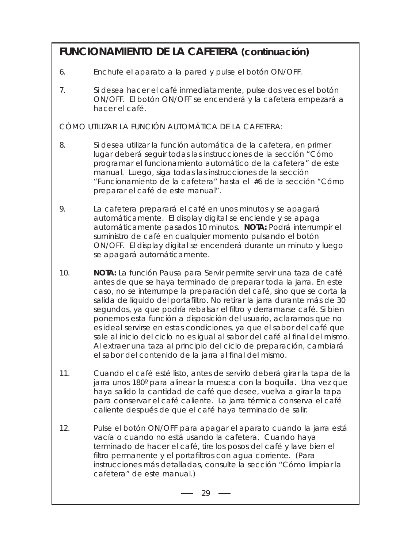### **FUNCIONAMIENTO DE LA CAFETERA (continuación)**

- 6. Enchufe el aparato a la pared y pulse el botón ON/OFF.
- 7. Si desea hacer el café inmediatamente, pulse dos veces el botón ON/OFF. El botón ON/OFF se encenderá y la cafetera empezará a hacer el café.

CÓMO UTILIZAR LA FUNCIÓN AUTOMÁTICA DE LA CAFETERA:

- 8. Si desea utilizar la función automática de la cafetera, en primer lugar deberá seguir todas las instrucciones de la sección "Cómo programar el funcionamiento automático de la cafetera" de este manual. Luego, siga todas las instrucciones de la sección "Funcionamiento de la cafetera" hasta el #6 de la sección "Cómo preparar el café de este manual".
- 9. La cafetera preparará el café en unos minutos y se apagará automáticamente. El display digital se enciende y se apaga automáticamente pasados 10 minutos. **NOTA:** Podrá interrumpir el suministro de café en cualquier momento pulsando el botón ON/OFF. El display digital se encenderá durante un minuto y luego se apagará automáticamente.
- 10. **NOTA:** La función Pausa para Servir permite servir una taza de café antes de que se haya terminado de preparar toda la jarra. En este caso, no se interrumpe la preparación del café, sino que se corta la salida de líquido del portafiltro. No retirar la jarra durante más de 30 segundos, ya que podría rebalsar el filtro y derramarse café. Si bien ponemos esta función a disposición del usuario, aclaramos que no es ideal servirse en estas condiciones, ya que el sabor del café que sale al inicio del ciclo no es igual al sabor del café al final del mismo. Al extraer una taza al principio del ciclo de preparación, cambiará el sabor del contenido de la jarra al final del mismo.
- 11. Cuando el café esté listo, antes de servirlo deberá girar la tapa de la jarra unos 180º para alinear la muesca con la boquilla. Una vez que haya salido la cantidad de café que desee, vuelva a girar la tapa para conservar el café caliente. La jarra térmica conserva el café caliente después de que el café haya terminado de salir.
- 12. Pulse el botón ON/OFF para apagar el aparato cuando la jarra está vacía o cuando no está usando la cafetera. Cuando haya terminado de hacer el café, tire los posos del café y lave bien el filtro permanente y el portafiltros con agua corriente. (Para instrucciones más detalladas, consulte la sección "Cómo limpiar la cafetera" de este manual.)

 $-29$  —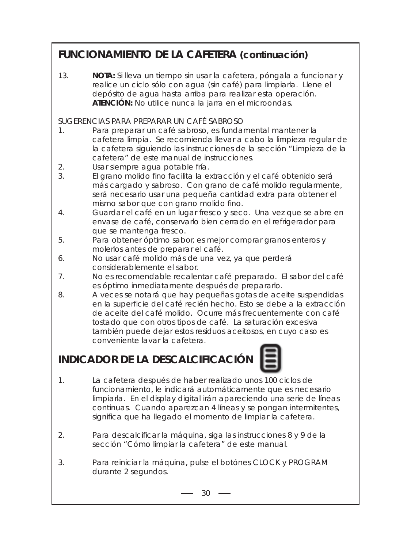## **FUNCIONAMIENTO DE LA CAFETERA (continuación)**

13. **NOTA:** Si lleva un tiempo sin usar la cafetera, póngala a funcionar y realice un ciclo sólo con agua (sin café) para limpiarla. Llene el depósito de agua hasta arriba para realizar esta operación. **ATENCIÓN:** No utilice nunca la jarra en el microondas.

#### SUGERENCIAS PARA PREPARAR UN CAFÉ SABROSO

- 1. Para preparar un café sabroso, es fundamental mantener la cafetera limpia. Se recomienda llevar a cabo la limpieza regular de la cafetera siguiendo las instrucciones de la sección "Limpieza de la cafetera" de este manual de instrucciones.
- 2. Usar siempre agua potable fría.
- 3. El grano molido fino facilita la extracción y el café obtenido será más cargado y sabroso. Con grano de café molido regularmente, será necesario usar una pequeña cantidad extra para obtener el mismo sabor que con grano molido fino.
- 4. Guardar el café en un lugar fresco y seco. Una vez que se abre en envase de café, conservarlo bien cerrado en el refrigerador para que se mantenga fresco.
- 5. Para obtener óptimo sabor, es mejor comprar granos enteros y molerlos antes de preparar el café.
- 6. No usar café molido más de una vez, ya que perderá considerablemente el sabor.
- 7. No es recomendable recalentar café preparado. El sabor del café es óptimo inmediatamente después de prepararlo.
- 8. A veces se notará que hay pequeñas gotas de aceite suspendidas en la superficie del café recién hecho. Esto se debe a la extracción de aceite del café molido. Ocurre más frecuentemente con café tostado que con otros tipos de café. La saturación excesiva también puede dejar estos residuos aceitosos, en cuyo caso es conveniente lavar la cafetera.

## **INDICADOR DE LA DESCALCIFICACIÓN**



- 1. La cafetera después de haber realizado unos 100 ciclos de funcionamiento, le indicará automáticamente que es necesario limpiarla. En el display digital irán apareciendo una serie de líneas continuas. Cuando aparezcan 4 líneas y se pongan intermitentes, significa que ha llegado el momento de limpiar la cafetera.
- 2. Para descalcificar la máquina, siga las instrucciones 8 y 9 de la sección "Cómo limpiar la cafetera" de este manual.
- 3. Para reiniciar la máquina, pulse el botónes CLOCK y PROGRAM durante 2 segundos.

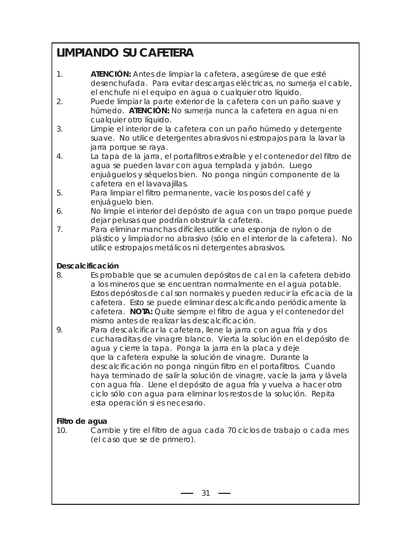# **LIMPIANDO SU CAFETERA**

- 1. **ATENCIÓN:** Antes de limpiar la cafetera, asegúrese de que esté desenchufada. Para evitar descargas eléctricas, no sumerja el cable, el enchufe ni el equipo en agua o cualquier otro líquido.
- 2. Puede limpiar la parte exterior de la cafetera con un paño suave y húmedo. **ATENCIÓN:** No sumerja nunca la cafetera en agua ni en cualquier otro líquido.
- 3. Limpie el interior de la cafetera con un paño húmedo y detergente suave. No utilice detergentes abrasivos ni estropajos para la lavar la jarra porque se raya.
- 4. La tapa de la jarra, el portafiltros extraíble y el contenedor del filtro de agua se pueden lavar con agua templada y jabón. Luego enjuáguelos y séquelos bien. No ponga ningún componente de la cafetera en el lavavajillas.
- 5. Para limpiar el filtro permanente, vacíe los posos del café y enjuáguelo bien.
- 6. No limpie el interior del depósito de agua con un trapo porque puede dejar pelusas que podrían obstruir la cafetera.
- 7. Para eliminar manchas difíciles utilice una esponja de nylon o de plástico y limpiador no abrasivo (sólo en el interior de la cafetera). No utilice estropajos metálicos ni detergentes abrasivos.

### **Descalcificación**

- 8. Es probable que se acumulen depósitos de cal en la cafetera debido a los mineros que se encuentran normalmente en el agua potable. Estos depósitos de cal son normales y pueden reducir la eficacia de la cafetera. Esto se puede eliminar descalcificando periódicamente la cafetera. **NOTA:** Quite siempre el filtro de agua y el contenedor del mismo antes de realizar las descalcificación.
- 9. Para descalcificar la cafetera, llene la jarra con agua fría y dos cucharaditas de vinagre blanco. Vierta la solución en el depósito de agua y cierre la tapa. Ponga la jarra en la placa y deje que la cafetera expulse la solución de vinagre. Durante la descalcificación no ponga ningún filtro en el portafiltros. Cuando haya terminado de salir la solución de vinagre, vacíe la jarra y lávela con agua fría. Llene el depósito de agua fría y vuelva a hacer otro ciclo sólo con agua para eliminar los restos de la solución. Repita esta operación si es necesario.

### **Filtro de agua**

10. Cambie y tire el filtro de agua cada 70 ciclos de trabajo o cada mes (el caso que se de primero).

 $31 -$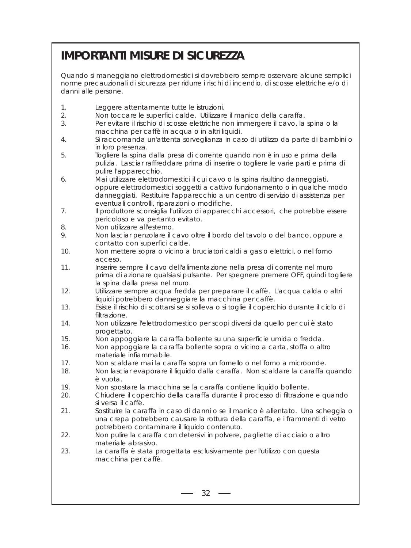# **IMPORTANTI MISURE DI SICUREZZA**

Quando si maneggiano elettrodomestici si dovrebbero sempre osservare alcune semplici norme precauzionali di sicurezza per ridurre i rischi di incendio, di scosse elettriche e/o di danni alle persone.

- 1. Leggere attentamente tutte le istruzioni.
- 2. Non toccare le superfici calde. Utilizzare il manico della caraffa.
- 3. Per evitare il rischio di scosse elettriche non immergere il cavo, la spina o la macchina per caffè in acqua o in altri liquidi.
- 4. Si raccomanda un'attenta sorveglianza in caso di utilizzo da parte di bambini o in loro presenza.
- 5. Togliere la spina dalla presa di corrente quando non è in uso e prima della pulizia. Lasciar raffreddare prima di inserire o togliere le varie parti e prima di pulire l'apparecchio.
- 6. Mai utilizzare elettrodomestici il cui cavo o la spina risultino danneggiati, oppure elettrodomestici soggetti a cattivo funzionamento o in qualche modo danneggiati. Restituire l'apparecchio a un centro di servizio di assistenza per eventuali controlli, riparazioni o modifiche.
- 7. Il produttore sconsiglia l'utilizzo di apparecchi accessori, che potrebbe essere pericoloso e va pertanto evitato.
- 8. Non utilizzare all'esterno.
- 9. Non lasciar penzolare il cavo oltre il bordo del tavolo o del banco, oppure a contatto con superfici calde.
- 10. Non mettere sopra o vicino a bruciatori caldi a gas o elettrici, o nel forno acceso.
- 11. Inserire sempre il cavo dell'alimentazione nella presa di corrente nel muro prima di azionare qualsiasi pulsante. Per spegnere premere OFF, quindi togliere la spina dalla presa nel muro.
- 12. Utilizzare sempre acqua fredda per preparare il caffè. L'acqua calda o altri liquidi potrebbero danneggiare la macchina per caffè.
- 13. Esiste il rischio di scottarsi se si solleva o si toglie il coperchio durante il ciclo di filtrazione.
- 14. Non utilizzare l'elettrodomestico per scopi diversi da quello per cui è stato progettato.
- 15. Non appoggiare la caraffa bollente su una superficie umida o fredda.
- 16. Non appoggiare la caraffa bollente sopra o vicino a carta, stoffa o altro materiale infiammabile.
- 17. Non scaldare mai la caraffa sopra un fornello o nel forno a microonde.<br>18. Non lasciar evaporare il liquido dalla caraffa. Non scaldare la caraffa.
- 18. Non lasciar evaporare il liquido dalla caraffa. Non scaldare la caraffa quando è vuota.
- 19. Non spostare la macchina se la caraffa contiene liquido bollente.
- 20. Chiudere il coperchio della caraffa durante il processo di filtrazione e quando si versa il caffè.
- 21. Sostituire la caraffa in caso di danni o se il manico è allentato. Una scheggia o una crepa potrebbero causare la rottura della caraffa, e i frammenti di vetro potrebbero contaminare il liquido contenuto.
- 22. Non pulire la caraffa con detersivi in polvere, pagliette di acciaio o altro materiale abrasivo.
- 23. La caraffa è stata progettata esclusivamente per l'utilizzo con questa macchina per caffè.

 $-32 -$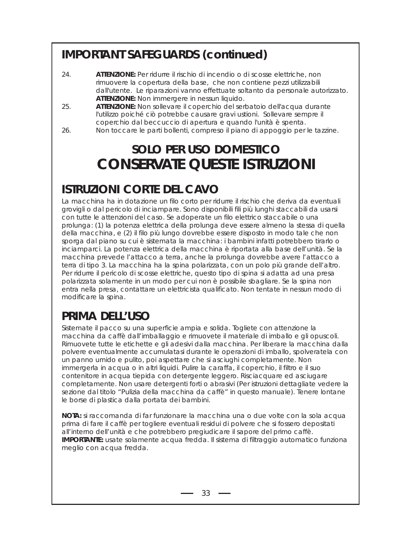# **IMPORTANT SAFEGUARDS (continued)**

- 24. **ATTENZIONE:** Per ridurre il rischio di incendio o di scosse elettriche, non rimuovere la copertura della base, che non contiene pezzi utilizzabili dall'utente. Le riparazioni vanno effettuate soltanto da personale autorizzato. **ATTENZIONE:** Non immergere in nessun liquido.
- 25. **ATTENZIONE:** Non sollevare il coperchio del serbatoio dell'acqua durante l'utilizzo poiché ciò potrebbe causare gravi ustioni. Sollevare sempre il coperchio dal beccuccio di apertura e quando l'unità è spenta.
- 26. Non toccare le parti bollenti, compreso il piano di appoggio per le tazzine.

# **SOLO PER USO DOMESTICO CONSERVATE QUESTE ISTRUZIONI**

# **ISTRUZIONI CORTE DEL CAVO**

La macchina ha in dotazione un filo corto per ridurre il rischio che deriva da eventuali grovigli o dal pericolo di inciampare. Sono disponibili fili più lunghi staccabili da usarsi con tutte le attenzioni del caso. Se adoperate un filo elettrico staccabile o una prolunga: (1) la potenza elettrica della prolunga deve essere almeno la stessa di quella della macchina, e (2) il filo più lungo dovrebbe essere disposto in modo tale che non sporga dal piano su cui è sistemata la macchina: i bambini infatti potrebbero tirarlo o inciamparci. La potenza elettrica della macchina è riportata alla base dell'unità. Se la macchina prevede l'attacco a terra, anche la prolunga dovrebbe avere l'attacco a terra di tipo 3. La macchina ha la spina polarizzata, con un polo più grande dell'altro. Per ridurre il pericolo di scosse elettriche, questo tipo di spina si adatta ad una presa polarizzata solamente in un modo per cui non è possibile sbagliare. Se la spina non entra nella presa, contattare un elettricista qualificato. Non tentate in nessun modo di modificare la spina.

# **PRIMA DELL'USO**

Sistemate il pacco su una superficie ampia e solida. Togliete con attenzione la macchina da caffè dall'imballaggio e rimuovete il materiale di imballo e gli opuscoli. Rimuovete tutte le etichette e gli adesivi dalla macchina. Per liberare la macchina dalla polvere eventualmente accumulatasi durante le operazioni di imballo, spolveratela con un panno umido e pulito, poi aspettare che si asciughi completamente. Non immergerla in acqua o in altri liquidi. Pulire la caraffa, il coperchio, il filtro e il suo contenitore in acqua tiepida con detergente leggero. Risciacquare ed asciugare completamente. Non usare detergenti forti o abrasivi (Per istruzioni dettagliate vedere la sezione dal titolo "Pulizia della macchina da caffè" in questo manuale). Tenere lontane le borse di plastica dalla portata dei bambini.

**NOTA:** si raccomanda di far funzionare la macchina una o due volte con la sola acqua prima di fare il caffè per togliere eventuali residui di polvere che si fossero depositati all'interno dell'unità e che potrebbero pregiudicare il sapore del primo caffè. **IMPORTANTE:** usate solamente acqua fredda. Il sistema di filtraggio automatico funziona meglio con acqua fredda.

 $-33$   $-$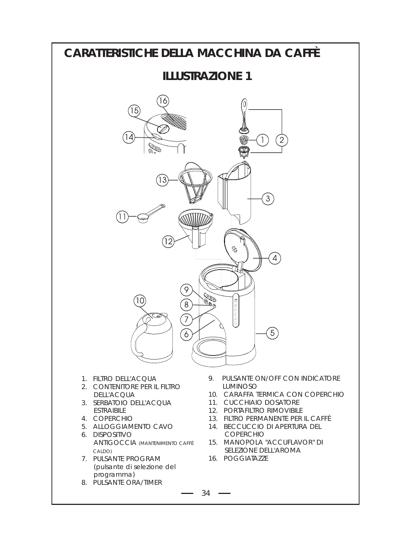### **CARATTERISTICHE DELLA MACCHINA DA CAFFÈ ILLUSTRAZIONE 1** 15 14 1  $\mathbf{3}$ 12 4 8  $\left(5\right)$ ŕ 1. FILTRO DELL'ACQUA 9. PULSANTE ON/OFF CON INDICATORE 2. CONTENITORE PER IL FILTRO LUMINOSO 10. CARAFFA TERMICA CON COPERCHIO DELL'ACQUA 3. SERBATOIO DELL'ACQUA 11. CUCCHIAIO DOSATORE ESTRAIBILE 12. PORTAFILTRO RIMOVIBILE 4. COPERCHIO 13. FILTRO PERMANENTE PER IL CAFFÈ 5. ALLOGGIAMENTO CAVO 14. BECCUCCIO DI APERTURA DEL 6. DISPOSITIVO COPERCHIO 15. MANOPOLA "ACCUFLAVOR" DI ANTIGOCCIA (MANTENIMENTO CAFFÈ CALDO) SELEZIONE DELL'AROMA 7. PULSANTE PROGRAM 16. POGGIATAZZE(pulsante di selezione del programma) 8. PULSANTE ORA/TIMER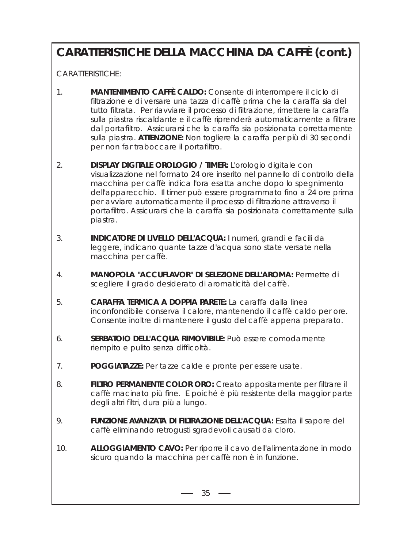# **CARATTERISTICHE DELLA MACCHINA DA CAFFÈ (cont.)**

CARATTERISTICHE:

- 1. **MANTENIMENTO CAFFÈ CALDO:** Consente di interrompere il ciclo di filtrazione e di versare una tazza di caffè prima che la caraffa sia del tutto filtrata. Per riavviare il processo di filtrazione, rimettere la caraffa sulla piastra riscaldante e il caffè riprenderà automaticamente a filtrare dal portafiltro. Assicurarsi che la caraffa sia posizionata correttamente sulla piastra. **ATTENZIONE:** Non togliere la caraffa per più di 30 secondi per non far traboccare il portafiltro.
- 2. **DISPLAY DIGITALE OROLOGIO / TIMER:** L'orologio digitale con visualizzazione nel formato 24 ore inserito nel pannello di controllo della macchina per caffè indica l'ora esatta anche dopo lo spegnimento dell'apparecchio. Il timer può essere programmato fino a 24 ore prima per avviare automaticamente il processo di filtrazione attraverso il portafiltro. Assicurarsi che la caraffa sia posizionata correttamente sulla piastra.
- 3. **INDICATORE DI LIVELLO DELL'ACQUA:** I numeri, grandi e facili da leggere, indicano quante tazze d'acqua sono state versate nella macchina per caffè.
- 4. **MANOPOLA "ACCUFLAVOR" DI SELEZIONE DELL'AROMA:** Permette di scegliere il grado desiderato di aromaticità del caffè.
- 5. **CARAFFA TERMICA A DOPPIA PARETE:** La caraffa dalla linea inconfondibile conserva il calore, mantenendo il caffè caldo per ore. Consente inoltre di mantenere il gusto del caffè appena preparato.
- 6. **SERBATOIO DELL'ACQUA RIMOVIBILE:** Può essere comodamente riempito e pulito senza difficoltà.
- 7. **POGGIATAZZE:** Per tazze calde e pronte per essere usate.
- 8. **FILTRO PERMANENTE COLOR ORO:** Creato appositamente per filtrare il caffè macinato più fine. E poiché è più resistente della maggior parte degli altri filtri, dura più a lungo.
- 9. **FUNZIONE AVANZATA DI FILTRAZIONE DELL'ACQUA:** Esalta il sapore del caffè eliminando retrogusti sgradevoli causati da cloro.
- 10. **ALLOGGIAMENTO CAVO:** Per riporre il cavo dell'alimentazione in modo sicuro quando la macchina per caffè non è in funzione.

 $35 \rightarrow$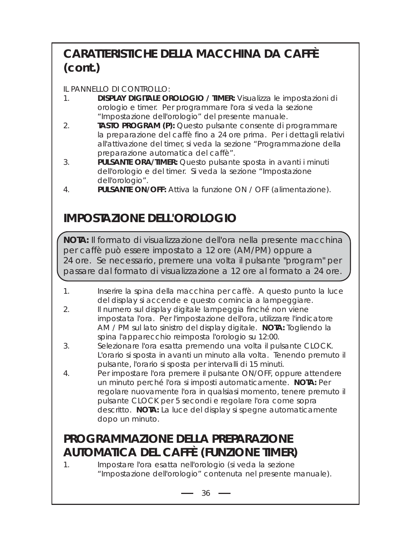# **CARATTERISTICHE DELLA MACCHINA DA CAFFÈ (cont.)**

### IL PANNELLO DI CONTROLLO:

- 1. **DISPLAY DIGITALE OROLOGIO / TIMER:** Visualizza le impostazioni di orologio e timer. Per programmare l'ora si veda la sezione "Impostazione dell'orologio" del presente manuale.
- 2. **TASTO PROGRAM (P):** Questo pulsante consente di programmare la preparazione del caffè fino a 24 ore prima. Per i dettagli relativi all'attivazione del timer, si veda la sezione "Programmazione della preparazione automatica del caffè".
- 3. **PULSANTE ORA/TIMER:** Questo pulsante sposta in avanti i minuti dell'orologio e del timer. Si veda la sezione "Impostazione dell'orologio".
- 4. **PULSANTE ON/OFF:** Attiva la funzione ON / OFF (alimentazione).

# **IMPOSTAZIONE DELL'OROLOGIO**

**NOTA:** Il formato di visualizzazione dell'ora nella presente macchina per caffè può essere impostato a 12 ore (AM/PM) oppure a 24 ore. Se necessario, premere una volta il pulsante "program" per passare dal formato di visualizzazione a 12 ore al formato a 24 ore.

- 1. Inserire la spina della macchina per caffè. A questo punto la luce del display si accende e questo comincia a lampeggiare.
- 2. Il numero sul display digitale lampeggia finché non viene impostata l'ora. Per l'impostazione dell'ora, utilizzare l'indicatore AM / PM sul lato sinistro del display digitale. **NOTA:** Togliendo la spina l'apparecchio reimposta l'orologio su 12:00.
- 3. Selezionare l'ora esatta premendo una volta il pulsante CLOCK. L'orario si sposta in avanti un minuto alla volta. Tenendo premuto il pulsante, l'orario si sposta per intervalli di 15 minuti.
- 4. Per impostare l'ora premere il pulsante ON/OFF, oppure attendere un minuto perché l'ora si imposti automaticamente. **NOTA:** Per regolare nuovamente l'ora in qualsiasi momento, tenere premuto il pulsante CLOCK per 5 secondi e regolare l'ora come sopra descritto. **NOTA:** La luce del display si spegne automaticamente dopo un minuto.

## **PROGRAMMAZIONE DELLA PREPARAZIONE AUTOMATICA DEL CAFFÈ (FUNZIONE TIMER)**

1. Impostare l'ora esatta nell'orologio (si veda la sezione "Impostazione dell'orologio" contenuta nel presente manuale).

 $-36$   $-$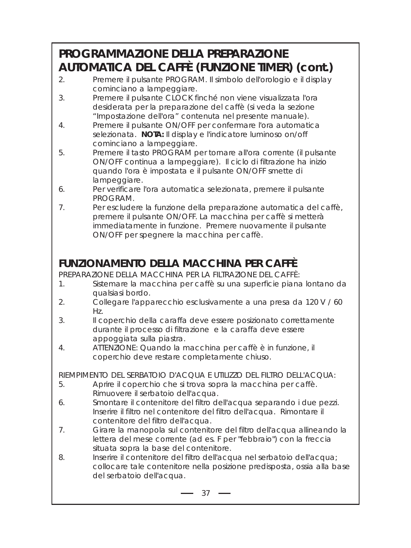# **PROGRAMMAZIONE DELLA PREPARAZIONE AUTOMATICA DEL CAFFÈ (FUNZIONE TIMER) (cont.)**

- 2. Premere il pulsante PROGRAM. Il simbolo dell'orologio e il display cominciano a lampeggiare.
- 3. Premere il pulsante CLOCK finché non viene visualizzata l'ora desiderata per la preparazione del caffè (si veda la sezione "Impostazione dell'ora" contenuta nel presente manuale).
- 4. Premere il pulsante ON/OFF per confermare l'ora automatica selezionata. **NOTA:** Il display e l'indicatore luminoso on/off cominciano a lampeggiare.
- 5. Premere il tasto PROGRAM per tornare all'ora corrente (il pulsante ON/OFF continua a lampeggiare). Il ciclo di filtrazione ha inizio quando l'ora è impostata e il pulsante ON/OFF smette di lampeggiare.
- 6. Per verificare l'ora automatica selezionata, premere il pulsante PROGRAM.
- 7. Per escludere la funzione della preparazione automatica del caffè, premere il pulsante ON/OFF. La macchina per caffè si metterà immediatamente in funzione. Premere nuovamente il pulsante ON/OFF per spegnere la macchina per caffè.

## **FUNZIONAMENTO DELLA MACCHINA PER CAFFÈ**

PREPARAZIONE DELLA MACCHINA PER LA FILTRAZIONE DEL CAFFÈ:

- 1. Sistemare la macchina per caffè su una superficie piana lontano da qualsiasi bordo.
- 2. Collegare l'apparecchio esclusivamente a una presa da 120 V / 60 Hz.
- 3. Il coperchio della caraffa deve essere posizionato correttamente durante il processo di filtrazione e la caraffa deve essere appoggiata sulla piastra.
- 4. ATTENZIONE: Quando la macchina per caffè è in funzione, il coperchio deve restare completamente chiuso.

RIEMPIMENTO DEL SERBATOIO D'ACQUA E UTILIZZO DEL FILTRO DELL'ACQUA:

- 5. Aprire il coperchio che si trova sopra la macchina per caffè. Rimuovere il serbatoio dell'acqua.
- 6. Smontare il contenitore del filtro dell'acqua separando i due pezzi. Inserire il filtro nel contenitore del filtro dell'acqua. Rimontare il contenitore del filtro dell'acqua.
- 7. Girare la manopola sul contenitore del filtro dell'acqua allineando la lettera del mese corrente (ad es. F per "febbraio") con la freccia situata sopra la base del contenitore.
- 8. Inserire il contenitore del filtro dell'acqua nel serbatoio dell'acqua; collocare tale contenitore nella posizione predisposta, ossia alla base del serbatoio dell'acqua.

 $-37 -$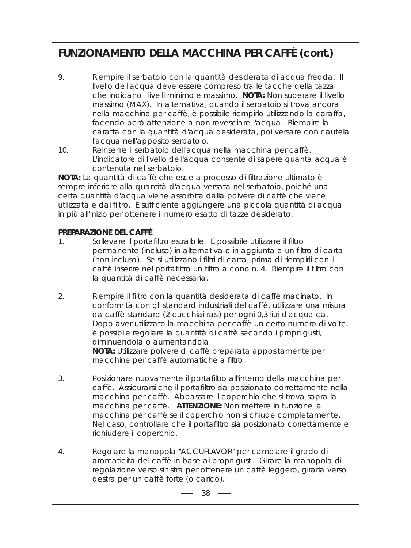## **FUNZIONAMENTO DELLA MACCHINA PER CAFFÈ (cont.)**

- 9. Riempire il serbatoio con la quantità desiderata di acqua fredda. Il livello dell'acqua deve essere compreso tra le tacche della tazza che indicano i livelli minimo e massimo. **NOTA:** Non superare il livello massimo (MAX). In alternativa, quando il serbatoio si trova ancora nella macchina per caffè, è possibile riempirlo utilizzando la caraffa, facendo però attenzione a non rovesciare l'acqua. Riempire la caraffa con la quantità d'acqua desiderata, poi versare con cautela l'acqua nell'apposito serbatoio.
- 10. Reinserire il serbatoio dell'acqua nella macchina per caffè. L'indicatore di livello dell'acqua consente di sapere quanta acqua è contenuta nel serbatoio.

**NOTA:** La quantità di caffè che esce a processo di filtrazione ultimato è sempre inferiore alla quantità d'acqua versata nel serbatoio, poiché una certa quantità d'acqua viene assorbita dalla polvere di caffè che viene utilizzata e dal filtro. È sufficiente aggiungere una piccola quantità di acqua in più all'inizio per ottenere il numero esatto di tazze desiderato.

### **PREPARAZIONE DEL CAFFÈ**

- 1. Sollevare il portafiltro estraibile. È possibile utilizzare il filtro permanente (incluso) in alternativa o in aggiunta a un filtro di carta (non incluso). Se si utilizzano i filtri di carta, prima di riempirli con il caffè inserire nel portafiltro un filtro a cono n. 4. Riempire il filtro con la quantità di caffè necessaria.
- 2. Riempire il filtro con la quantità desiderata di caffè macinato. In conformità con gli standard industriali del caffè, utilizzare una misura da caffè standard (2 cucchiai rasi) per ogni 0,3 litri d'acqua ca. Dopo aver utilizzato la macchina per caffè un certo numero di volte, è possibile regolare la quantità di caffè secondo i propri gusti, diminuendola o aumentandola.

**NOTA:** Utilizzare polvere di caffè preparata appositamente per macchine per caffè automatiche a filtro.

- 3. Posizionare nuovamente il portafiltro all'interno della macchina per caffè. Assicurarsi che il portafiltro sia posizionato correttamente nella macchina per caffè. Abbassare il coperchio che si trova sopra la macchina per caffè. **ATTENZIONE:** Non mettere in funzione la macchina per caffè se il coperchio non si chiude completamente. Nel caso, controllare che il portafiltro sia posizionato correttamente e richiudere il coperchio.
- 4. Regolare la manopola "ACCUFLAVOR" per cambiare il grado di aromaticità del caffè in base ai propri gusti. Girare la manopola di regolazione verso sinistra per ottenere un caffè leggero, girarla verso destra per un caffè forte (o carico).

 $38 \rightarrow$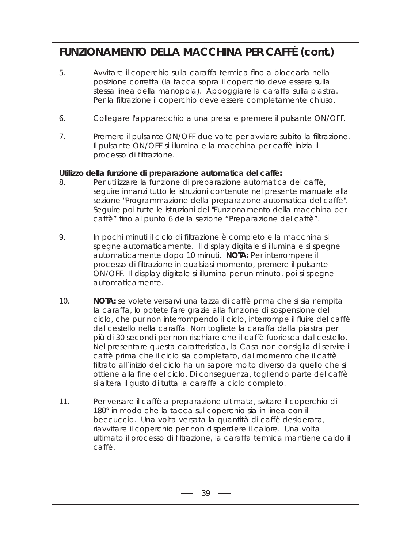## **FUNZIONAMENTO DELLA MACCHINA PER CAFFÈ (cont.)**

- 5. Avvitare il coperchio sulla caraffa termica fino a bloccarla nella posizione corretta (la tacca sopra il coperchio deve essere sulla stessa linea della manopola). Appoggiare la caraffa sulla piastra. Per la filtrazione il coperchio deve essere completamente chiuso.
- 6. Collegare l'apparecchio a una presa e premere il pulsante ON/OFF.
- 7. Premere il pulsante ON/OFF due volte per avviare subito la filtrazione. Il pulsante ON/OFF si illumina e la macchina per caffè inizia il processo di filtrazione.

#### **Utilizzo della funzione di preparazione automatica del caffè:**

- 8. Per utilizzare la funzione di preparazione automatica del caffè, seguire innanzi tutto le istruzioni contenute nel presente manuale alla sezione "Programmazione della preparazione automatica del caffè". Seguire poi tutte le istruzioni del "Funzionamento della macchina per caffè" fino al punto 6 della sezione "Preparazione del caffè".
- 9. In pochi minuti il ciclo di filtrazione è completo e la macchina si spegne automaticamente. Il display digitale si illumina e si spegne automaticamente dopo 10 minuti. **NOTA:** Per interrompere il processo di filtrazione in qualsiasi momento, premere il pulsante ON/OFF. Il display digitale si illumina per un minuto, poi si spegne automaticamente.
- 10. **NOTA:** se volete versarvi una tazza di caffè prima che si sia riempita la caraffa, lo potete fare grazie alla funzione di sospensione del ciclo, che pur non interrompendo il ciclo, interrompe il fluire del caffè dal cestello nella caraffa. Non togliete la caraffa dalla piastra per più di 30 secondi per non rischiare che il caffè fuoriesca dal cestello. Nel presentare questa caratteristica, la Casa non consiglia di servire il caffè prima che il ciclo sia completato, dal momento che il caffè filtrato all'inizio del ciclo ha un sapore molto diverso da quello che si ottiene alla fine del ciclo. Di conseguenza, togliendo parte del caffè si altera il gusto di tutta la caraffa a ciclo completo.
- 11. Per versare il caffè a preparazione ultimata, svitare il coperchio di 180° in modo che la tacca sul coperchio sia in linea con il beccuccio. Una volta versata la quantità di caffè desiderata, riavvitare il coperchio per non disperdere il calore. Una volta ultimato il processo di filtrazione, la caraffa termica mantiene caldo il caffè.

 $39 -$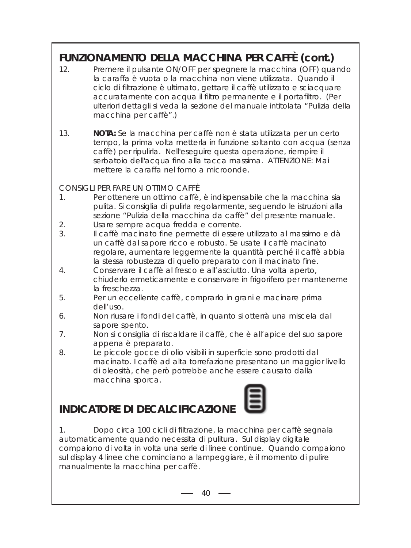## **FUNZIONAMENTO DELLA MACCHINA PER CAFFÈ (cont.)**

- 12. Premere il pulsante ON/OFF per spegnere la macchina (OFF) quando la caraffa è vuota o la macchina non viene utilizzata. Quando il ciclo di filtrazione è ultimato, gettare il caffè utilizzato e sciacquare accuratamente con acqua il filtro permanente e il portafiltro. (Per ulteriori dettagli si veda la sezione del manuale intitolata "Pulizia della macchina per caffè".)
- 13. **NOTA:** Se la macchina per caffè non è stata utilizzata per un certo tempo, la prima volta metterla in funzione soltanto con acqua (senza caffè) per ripulirla. Nell'eseguire questa operazione, riempire il serbatoio dell'acqua fino alla tacca massima. ATTENZIONE: Mai mettere la caraffa nel forno a microonde.

CONSIGLI PER FARE UN OTTIMO CAFFÈ

- 1. Per ottenere un ottimo caffè, è indispensabile che la macchina sia pulita. Si consiglia di pulirla regolarmente, seguendo le istruzioni alla sezione "Pulizia della macchina da caffè" del presente manuale.
- 2. Usare sempre acqua fredda e corrente.
- 3. Il caffè macinato fine permette di essere utilizzato al massimo e dà un caffè dal sapore ricco e robusto. Se usate il caffè macinato regolare, aumentare leggermente la quantità perché il caffè abbia la stessa robustezza di quello preparato con il macinato fine.
- 4. Conservare il caffè al fresco e all'asciutto. Una volta aperto, chiuderlo ermeticamente e conservare in frigorifero per mantenerne la freschezza.
- 5. Per un eccellente caffè, comprarlo in grani e macinare prima dell'uso.
- 6. Non riusare i fondi del caffè, in quanto si otterrà una miscela dal sapore spento.
- 7. Non si consiglia di riscaldare il caffè, che è all'apice del suo sapore appena è preparato.
- 8. Le piccole gocce di olio visibili in superficie sono prodotti dal macinato. I caffè ad alta torrefazione presentano un maggior livello di oleosità, che però potrebbe anche essere causato dalla macchina sporca.

### **INDICATORE DI DECALCIFICAZIONI**



 $-40 -$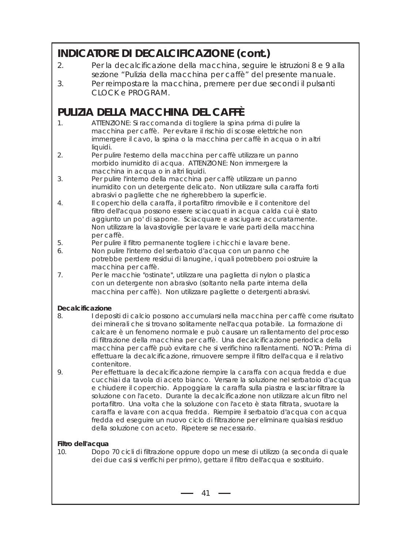### **INDICATORE DI DECALCIFICAZIONE (cont.)**

- 2. Per la decalcificazione della macchina, seguire le istruzioni 8 e 9 alla sezione "Pulizia della macchina per caffè" del presente manuale.
- 3. Per reimpostare la macchina, premere per due secondi il pulsanti CLOCK e PROGRAM.

### **PULIZIA DELLA MACCHINA DEL CAFFÈ**

- 1. ATTENZIONE: Si raccomanda di togliere la spina prima di pulire la macchina per caffè. Per evitare il rischio di scosse elettriche non immergere il cavo, la spina o la macchina per caffè in acqua o in altri liquidi.
- 2. Per pulire l'esterno della macchina per caffè utilizzare un panno morbido inumidito di acqua. ATTENZIONE: Non immergere la macchina in acqua o in altri liquidi.
- 3. Per pulire l'interno della macchina per caffè utilizzare un panno inumidito con un detergente delicato. Non utilizzare sulla caraffa forti abrasivi o pagliette che ne righerebbero la superficie.
- 4. Il coperchio della caraffa, il portafiltro rimovibile e il contenitore del filtro dell'acqua possono essere sciacquati in acqua calda cui è stato aggiunto un po' di sapone. Sciacquare e asciugare accuratamente. Non utilizzare la lavastoviglie per lavare le varie parti della macchina per caffè.
- 5. Per pulire il filtro permanente togliere i chicchi e lavare bene.
- 6. Non pulire l'interno del serbatoio d'acqua con un panno che potrebbe perdere residui di lanugine, i quali potrebbero poi ostruire la macchina per caffè.
- 7. Per le macchie "ostinate", utilizzare una paglietta di nylon o plastica con un detergente non abrasivo (soltanto nella parte interna della macchina per caffè). Non utilizzare pagliette o detergenti abrasivi.

#### **Decalcificazione**

- 8. I depositi di calcio possono accumularsi nella macchina per caffè come risultato dei minerali che si trovano solitamente nell'acqua potabile. La formazione di calcare è un fenomeno normale e può causare un rallentamento del processo di filtrazione della macchina per caffè. Una decalcificazione periodica della macchina per caffè può evitare che si verifichino rallentamenti. NOTA: Prima di effettuare la decalcificazione, rimuovere sempre il filtro dell'acqua e il relativo contenitore.
- 9. Per effettuare la decalcificazione riempire la caraffa con acqua fredda e due cucchiai da tavola di aceto bianco. Versare la soluzione nel serbatoio d'acqua e chiudere il coperchio. Appoggiare la caraffa sulla piastra e lasciar filtrare la soluzione con l'aceto. Durante la decalcificazione non utilizzare alcun filtro nel portafiltro. Una volta che la soluzione con l'aceto è stata filtrata, svuotare la caraffa e lavare con acqua fredda. Riempire il serbatoio d'acqua con acqua fredda ed eseguire un nuovo ciclo di filtrazione per eliminare qualsiasi residuo della soluzione con aceto. Ripetere se necessario.

#### **Filtro dell'acqua**

10. Dopo 70 cicli di filtrazione oppure dopo un mese di utilizzo (a seconda di quale dei due casi si verifichi per primo), gettare il filtro dell'acqua e sostituirlo.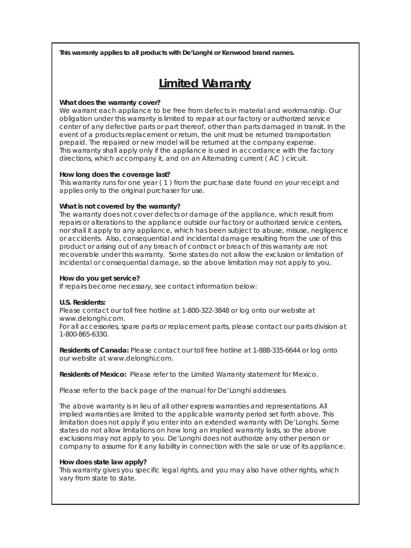**This warranty applies to all products with De'Longhi or Kenwood brand names.**

## **Limited Warranty**

#### **What does the warranty cover?**

We warrant each appliance to be free from defects in material and workmanship. Our obligation under this warranty is limited to repair at our factory or authorized service center of any defective parts or part thereof, other than parts damaged in transit. In the event of a products replacement or return, the unit must be returned transportation prepaid. The repaired or new model will be returned at the company expense. This warranty shall apply only if the appliance is used in accordance with the factory directions, which accompany it, and on an Alternating current ( AC ) circuit.

#### **How long does the coverage last?**

This warranty runs for one year ( 1 ) from the purchase date found on your receipt and applies only to the original purchaser for use.

#### **What is not covered by the warranty?**

The warranty does not cover defects or damage of the appliance, which result from repairs or alterations to the appliance outside our factory or authorized service centers, nor shall it apply to any appliance, which has been subject to abuse, misuse, negligence or accidents. Also, consequential and incidental damage resulting from the use of this product or arising out of any breach of contract or breach of this warranty are not recoverable under this warranty. Some states do not allow the exclusion or limitation of incidental or consequential damage, so the above limitation may not apply to you.

#### **How do you get service?**

If repairs become necessary, see contact information below:

#### **U.S. Residents:**

Please contact our toll free hotline at 1-800-322-3848 or log onto our website at www.delonghi.com.

For all accessories, spare parts or replacement parts, please contact our parts division at 1-800-865-6330.

**Residents of Canada:** Please contact our toll free hotline at 1-888-335-6644 or log onto our website at www.delonghi.com.

**Residents of Mexico:** Please refer to the Limited Warranty statement for Mexico.

Please refer to the back page of the manual for De'Longhi addresses.

The above warranty is in lieu of all other express warranties and representations. All implied warranties are limited to the applicable warranty period set forth above. This limitation does not apply if you enter into an extended warranty with De'Longhi. Some states do not allow limitations on how long an implied warranty lasts, so the above exclusions may not apply to you. De'Longhi does not authorize any other person or company to assume for it any liability in connection with the sale or use of its appliance.

#### **How does state law apply?**

This warranty gives you specific legal rights, and you may also have other rights, which vary from state to state.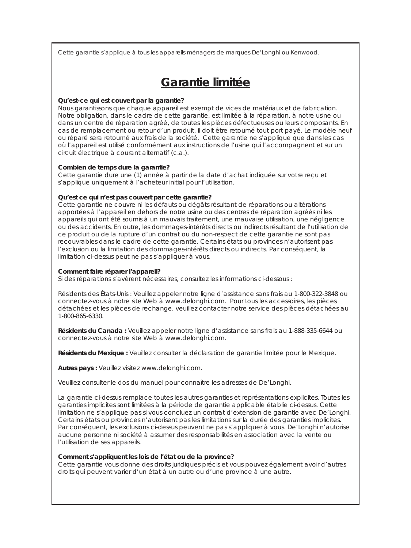Cette garantie s'applique à tous les appareils ménagers de marques De'Longhi ou Kenwood.

### **Garantie limitée**

#### **Qu'est-ce qui est couvert par la garantie?**

Nous garantissons que chaque appareil est exempt de vices de matériaux et de fabrication. Notre obligation, dans le cadre de cette garantie, est limitée à la réparation, à notre usine ou dans un centre de réparation agréé, de toutes les pièces défectueuses ou leurs composants. En cas de remplacement ou retour d'un produit, il doit être retourné tout port payé. Le modèle neuf ou réparé sera retourné aux frais de la société. Cette garantie ne s'applique que dans les cas où l'appareil est utilisé conformément aux instructions de l'usine qui l'accompagnent et sur un circuit électrique à courant alternatif (c.a.).

#### **Combien de temps dure la garantie?**

Cette garantie dure une (1) année à partir de la date d'achat indiquée sur votre reçu et s'applique uniquement à l'acheteur initial pour l'utilisation.

#### **Qu'est ce qui n'est pas couvert par cette garantie?**

Cette garantie ne couvre ni les défauts ou dégâts résultant de réparations ou altérations apportées à l'appareil en dehors de notre usine ou des centres de réparation agréés ni les appareils qui ont été soumis à un mauvais traitement, une mauvaise utilisation, une négligence ou des accidents. En outre, les dommages-intérêts directs ou indirects résultant de l'utilisation de ce produit ou de la rupture d'un contrat ou du non-respect de cette garantie ne sont pas recouvrables dans le cadre de cette garantie. Certains états ou provinces n'autorisent pas l'exclusion ou la limitation des dommages-intérêts directs ou indirects. Par conséquent, la limitation ci-dessus peut ne pas s'appliquer à vous.

#### **Comment faire réparer l'appareil?**

Si des réparations s'avèrent nécessaires, consultez les informations ci-dessous :

Résidents des États-Unis : Veuillez appeler notre ligne d'assistance sans frais au 1-800-322-3848 ou connectez-vous à notre site Web à www.delonghi.com. Pour tous les accessoires, les pièces détachées et les pièces de rechange, veuillez contacter notre service des pièces détachées au 1-800-865-6330.

**Résidents du Canada :** Veuillez appeler notre ligne d'assistance sans frais au 1-888-335-6644 ou connectez-vous à notre site Web à www.delonghi.com.

**Résidents du Mexique :** Veuillez consulter la déclaration de garantie limitée pour le Mexique.

**Autres pays :** Veuillez visitez www.delonghi.com.

Veuillez consulter le dos du manuel pour connaître les adresses de De'Longhi.

La garantie ci-dessus remplace toutes les autres garanties et représentations explicites. Toutes les garanties implicites sont limitées à la période de garantie applicable établie ci-dessus. Cette limitation ne s'applique pas si vous concluez un contrat d'extension de garantie avec De'Longhi. Certains états ou provinces n'autorisent pas les limitations sur la durée des garanties implicites. Par conséquent, les exclusions ci-dessus peuvent ne pas s'appliquer à vous. De'Longhi n'autorise aucune personne ni société à assumer des responsabilités en association avec la vente ou l'utilisation de ses appareils.

#### **Comment s'appliquent les lois de l'état ou de la province?**

Cette garantie vous donne des droits juridiques précis et vous pouvez également avoir d'autres droits qui peuvent varier d'un état à un autre ou d'une province à une autre.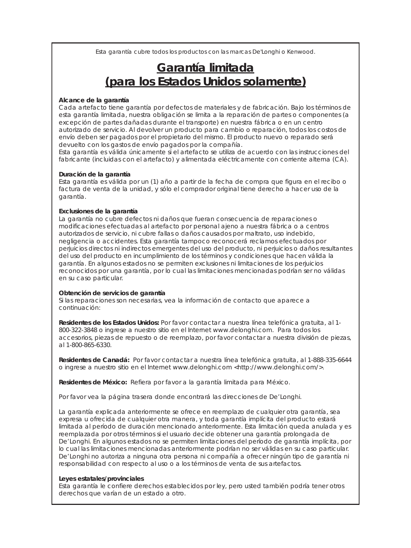Esta garantía cubre todos los productos con las marcas De'Longhi o Kenwood.

### **Garantía limitada (para los Estados Unidos solamente)**

#### **Alcance de la garantía**

Cada artefacto tiene garantía por defectos de materiales y de fabricación. Bajo los términos de esta garantía limitada, nuestra obligación se limita a la reparación de partes o componentes (a excepción de partes dañadas durante el transporte) en nuestra fábrica o en un centro autorizado de servicio. Al devolver un producto para cambio o reparación, todos los costos de envío deben ser pagados por el propietario del mismo. El producto nuevo o reparado será devuelto con los gastos de envío pagados por la compañía.

Esta garantía es válida únicamente si el artefacto se utiliza de acuerdo con las instrucciones del fabricante (incluidas con el artefacto) y alimentada eléctricamente con corriente alterna (CA).

#### **Duración de la garantía**

Esta garantía es válida por un (1) año a partir de la fecha de compra que figura en el recibo o factura de venta de la unidad, y sólo el comprador original tiene derecho a hacer uso de la garantía.

#### **Exclusiones de la garantía**

La garantía no cubre defectos ni daños que fueran consecuencia de reparaciones o modificaciones efectuadas al artefacto por personal ajeno a nuestra fábrica o a centros autorizados de servicio, ni cubre fallas o daños causados por maltrato, uso indebido, negligencia o accidentes. Esta garantía tampoco reconocerá reclamos efectuados por perjuicios directos ni indirectos emergentes del uso del producto, ni perjuicios o daños resultantes del uso del producto en incumplimiento de los términos y condiciones que hacen válida la garantía. En algunos estados no se permiten exclusiones ni limitaciones de los perjuicios reconocidos por una garantía, por lo cual las limitaciones mencionadas podrían ser no válidas en su caso particular.

#### **Obtención de servicios de garantía**

Si las reparaciones son necesarias, vea la información de contacto que aparece a continuación:

**Residentes de los Estados Unidos:** Por favor contactar a nuestra línea telefónica gratuita, al 1- 800-322-3848 o ingrese a nuestro sitio en el Internet www.delonghi.com. Para todos los accesorios, piezas de repuesto o de reemplazo, por favor contactar a nuestra división de piezas, al 1-800-865-6330.

**Residentes de Canadá:** Por favor contactar a nuestra línea telefónica gratuita, al 1-888-335-6644 o ingrese a nuestro sitio en el Internet www.delonghi.com <http://www.delonghi.com/>.

**Residentes de México:** Refiera por favor a la garantía limitada para México.

Por favor vea la página trasera donde encontrará las direcciones de De'Longhi.

La garantía explicada anteriormente se ofrece en reemplazo de cualquier otra garantía, sea expresa u ofrecida de cualquier otra manera, y toda garantía implícita del producto estará limitada al período de duración mencionado anteriormente. Esta limitación queda anulada y es reemplazada por otros términos si el usuario decide obtener una garantía prolongada de De'Longhi. En algunos estados no se permiten limitaciones del período de garantía implícita, por lo cual las limitaciones mencionadas anteriormente podrían no ser válidas en su caso particular. De'Longhi no autoriza a ninguna otra persona ni compañía a ofrecer ningún tipo de garantía ni responsabilidad con respecto al uso o a los términos de venta de sus artefactos.

#### **Leyes estatales/provinciales**

Esta garantía le confiere derechos establecidos por ley, pero usted también podría tener otros derechos que varían de un estado a otro.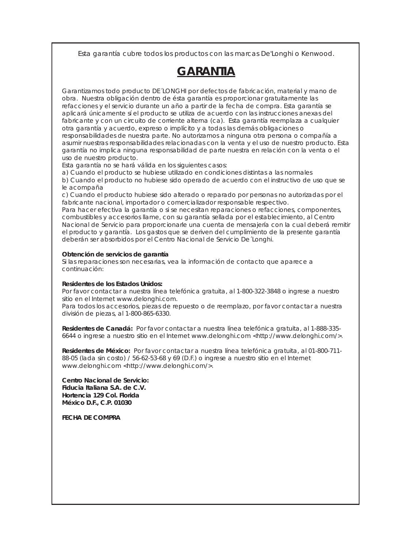Esta garantía cubre todos los productos con las marcas De'Longhi o Kenwood.

## **GARANTIA**

Garantizamos todo producto DE´LONGHI por defectos de fabricación, material y mano de obra. Nuestra obligación dentro de ésta garantía es proporcionar gratuitamente las refacciones y el servicio durante un año a partir de la fecha de compra. Esta garantía se aplicará únicamente sí el producto se utiliza de acuerdo con las instrucciones anexas del fabricante y con un circuito de corriente alterna (ca). Esta garantía reemplaza a cualquier otra garantía y acuerdo, expreso o implícito y a todas las demás obligaciones o responsabilidades de nuestra parte. No autorizamos a ninguna otra persona o compañía a asumir nuestras responsabilidades relacionadas con la venta y el uso de nuestro producto. Esta garantía no implica ninguna responsabilidad de parte nuestra en relación con la venta o el uso de nuestro producto.

Esta garantía no se hará válida en los siguientes casos:

a) Cuando el producto se hubiese utilizado en condiciones distintas a las normales

b) Cuando el producto no hubiese sido operado de acuerdo con el instructivo de uso que se le acompaña

c) Cuando el producto hubiese sido alterado o reparado por personas no autorizadas por el fabricante nacional, importador o comercializador responsable respectivo.

Para hacer efectiva la garantía o si se necesitan reparaciones o refacciones, componentes, combustibles y accesorios llame, con su garantía sellada por el establecimiento, al Centro Nacional de Servicio para proporcionarle una cuenta de mensajería con la cual deberá remitir el producto y garantía. Los gastos que se deriven del cumplimiento de la presente garantía deberán ser absorbidos por el Centro Nacional de Servicio De´Longhi.

#### **Obtención de servicios de garantía**

Si las reparaciones son necesarias, vea la información de contacto que aparece a continuación:

#### **Residentes de los Estados Unidos:**

Por favor contactar a nuestra línea telefónica gratuita, al 1-800-322-3848 o ingrese a nuestro sitio en el Internet www.delonghi.com.

Para todos los accesorios, piezas de repuesto o de reemplazo, por favor contactar a nuestra división de piezas, al 1-800-865-6330.

**Residentes de Canadá:** Por favor contactar a nuestra línea telefónica gratuita, al 1-888-335- 6644 o ingrese a nuestro sitio en el Internet www.delonghi.com <http://www.delonghi.com/>.

**Residentes de México:** Por favor contactar a nuestra línea telefónica gratuita, al 01-800-711- 88-05 (lada sin costo) / 56-62-53-68 y 69 (D.F.) o ingrese a nuestro sitio en el Internet www.delonghi.com <http://www.delonghi.com/>.

**Centro Nacional de Servicio: Fiducia Italiana S.A. de C.V. Hortencia 129 Col. Florida México D.F., C.P. 01030**

**FECHA DE COMPRA**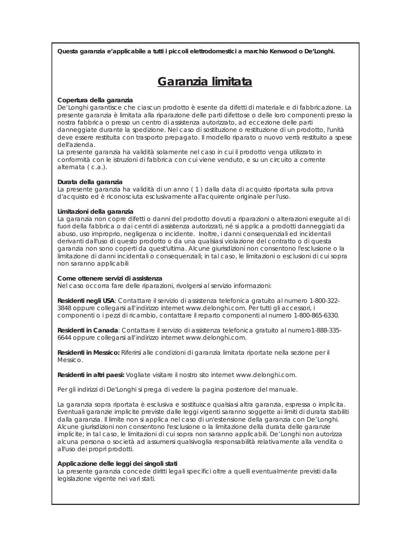**Questa garanzia e'applicabile a tutti i piccoli elettrodomestici a marchio Kenwood o De'Longhi.**

### **Garanzia limitata**

#### **Copertura della garanzia**

De'Longhi garantisce che ciascun prodotto è esente da difetti di materiale e di fabbricazione. La presente garanzia è limitata alla riparazione delle parti difettose o delle loro componenti presso la nostra fabbrica o presso un centro di assistenza autorizzato, ad eccezione delle parti danneggiate durante la spedizione. Nel caso di sostituzione o restituzione di un prodotto, l'unità deve essere restituita con trasporto prepagato. Il modello riparato o nuovo verrà restituito a spese dell'azienda.

La presente garanzia ha validità solamente nel caso in cui il prodotto venga utilizzato in conformità con le istruzioni di fabbrica con cui viene venduto, e su un circuito a corrente alternata ( c.a.).

#### **Durata della garanzia**

La presente garanzia ha validità di un anno ( 1 ) dalla data di acquisto riportata sulla prova d'acquisto ed è riconosciuta esclusivamente all'acquirente originale per l'uso.

#### **Limitazioni della garanzia**

La garanzia non copre difetti o danni del prodotto dovuti a riparazioni o alterazioni eseguite al di fuori della fabbrica o dai centri di assistenza autorizzati, né si applica a prodotti danneggiati da abuso, uso improprio, negligenza o incidente. Inoltre, i danni consequenziali ed incidentali derivanti dall'uso di questo prodotto o da una qualsiasi violazione del contratto o di questa garanzia non sono coperti da quest'ultima. Alcune giurisdizioni non consentono l'esclusione o la limitazione di danni incidentali o consequenziali; in tal caso, le limitazioni o esclusioni di cui sopra non saranno applicabili

#### **Come ottenere servizi di assistenza**

Nel caso occorra fare delle riparazioni, rivolgersi al servizio informazioni:

**Residenti negli USA**: Contattare il servizio di assistenza telefonica gratuito al numero 1-800-322- 3848 oppure collegarsi all'indirizzo internet www.delonghi.com. Per tutti gli accessori, i componenti o i pezzi di ricambio, contattare il reparto componenti al numero 1-800-865-6330.

**Residenti in Canada**: Contattare il servizio di assistenza telefonica gratuito al numero1-888-335- 6644 oppure collegarsi all'indirizzo internet www.delonghi.com.

**Residenti in Messico:** Riferirsi alle condizioni di garanzia limitata riportate nella sezione per il Messico.

**Residenti in altri paesi:** Vogliate visitare il nostro sito internet www.delonghi.com.

Per gli indirizzi di De'Longhi si prega di vedere la pagina posteriore del manuale.

La garanzia sopra riportata è esclusiva e sostituisce qualsiasi altra garanzia, espressa o implicita. Eventuali garanzie implicite previste dalle leggi vigenti saranno soggette ai limiti di durata stabiliti dalla garanzia. Il limite non si applica nel caso di un'estensione della garanzia con De'Longhi. Alcune giurisdizioni non consentono l'esclusione o la limitazione della durata delle garanzie implicite; in tal caso, le limitazioni di cui sopra non saranno applicabili. De'Longhi non autorizza alcuna persona o società ad assumersi qualsivoglia responsabilità relativamente alla vendita o all'uso dei propri prodotti.

#### **Applicazione delle leggi dei singoli stati**

La presente garanzia concede diritti legali specifici oltre a quelli eventualmente previsti dalla legislazione vigente nei vari stati.